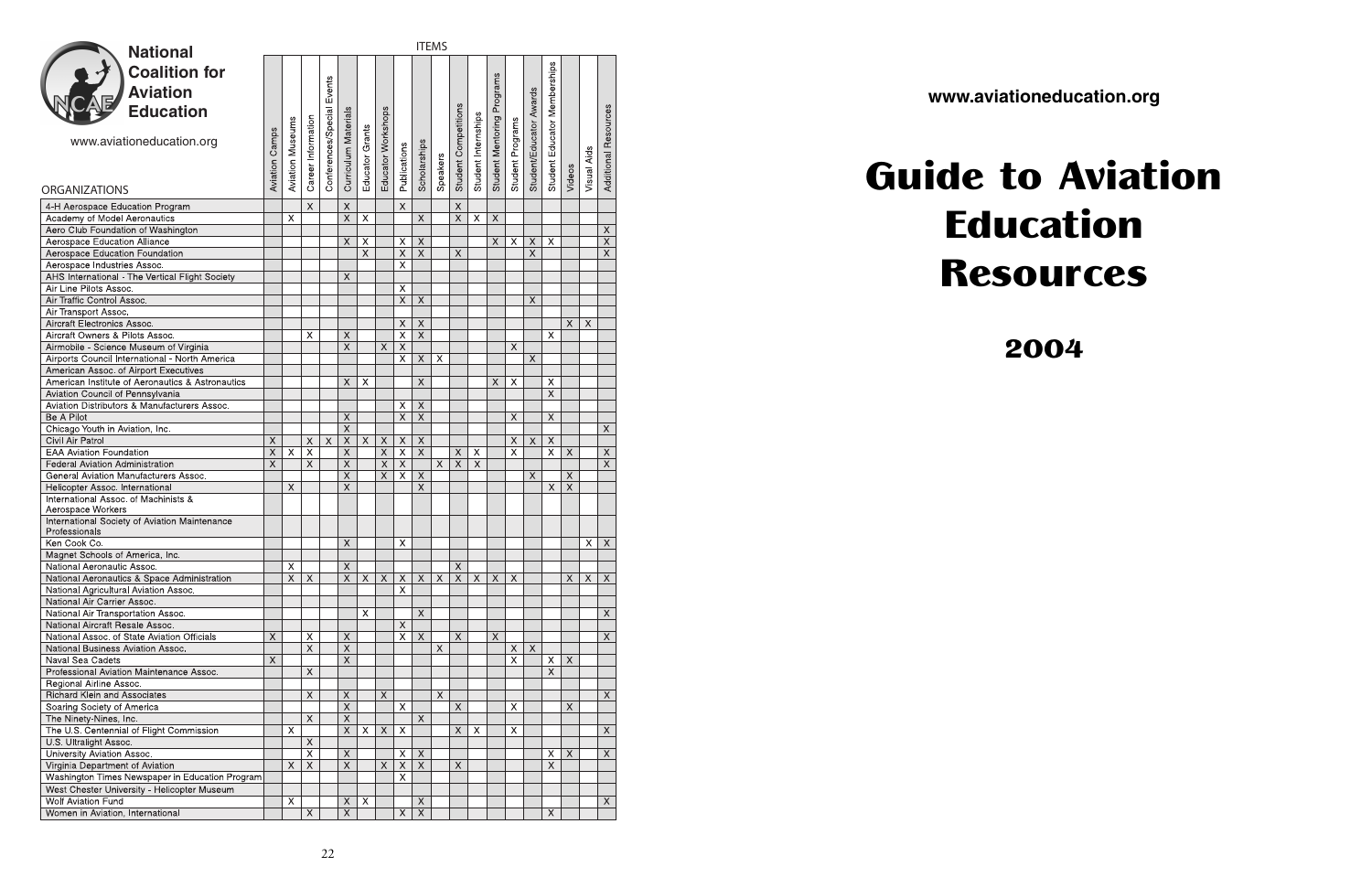| <b>National</b>                                                           | <b>ITEMS</b>            |                           |                           |                     |                                  |                 |                                  |                           |                                                      |                         |                               |                           |                            |                           |                           |                              |                           |                           |                             |
|---------------------------------------------------------------------------|-------------------------|---------------------------|---------------------------|---------------------|----------------------------------|-----------------|----------------------------------|---------------------------|------------------------------------------------------|-------------------------|-------------------------------|---------------------------|----------------------------|---------------------------|---------------------------|------------------------------|---------------------------|---------------------------|-----------------------------|
|                                                                           |                         |                           |                           |                     |                                  |                 |                                  |                           |                                                      |                         |                               |                           |                            |                           |                           |                              |                           |                           |                             |
| <b>Coalition for</b>                                                      |                         |                           |                           |                     |                                  |                 |                                  |                           |                                                      |                         |                               |                           |                            |                           |                           | Student Educator Memberships |                           |                           |                             |
| <b>Aviation</b>                                                           |                         |                           |                           | Events              |                                  |                 |                                  |                           |                                                      |                         |                               |                           |                            |                           |                           |                              |                           |                           |                             |
| <b>Education</b>                                                          |                         |                           |                           |                     |                                  |                 |                                  |                           |                                                      |                         |                               |                           | Student Mentoring Programs |                           | Student/Educator Awards   |                              |                           |                           |                             |
|                                                                           |                         |                           |                           | Conferences/Special | Curriculum Materials             |                 | Educator Workshops               |                           |                                                      |                         | Student Competitions          | Student Internships       |                            |                           |                           |                              |                           |                           | <b>Additional Resources</b> |
|                                                                           |                         | <b>Aviation Museums</b>   | Career Information        |                     |                                  | Educator Grants |                                  |                           |                                                      |                         |                               |                           |                            | Student Programs          |                           |                              |                           |                           |                             |
| www.aviationeducation.org                                                 | <b>Aviation Camps</b>   |                           |                           |                     |                                  |                 |                                  |                           | Scholarships                                         |                         |                               |                           |                            |                           |                           |                              |                           |                           |                             |
|                                                                           |                         |                           |                           |                     |                                  |                 |                                  | Publications              |                                                      | Speakers                |                               |                           |                            |                           |                           |                              |                           | Visual Aids               |                             |
|                                                                           |                         |                           |                           |                     |                                  |                 |                                  |                           |                                                      |                         |                               |                           |                            |                           |                           |                              | Videos                    |                           |                             |
| <b>ORGANIZATIONS</b>                                                      |                         |                           |                           |                     |                                  |                 |                                  |                           |                                                      |                         |                               |                           |                            |                           |                           |                              |                           |                           |                             |
| 4-H Aerospace Education Program                                           |                         |                           | $\mathsf{X}$              |                     | $\mathsf X$                      |                 |                                  | $\times$                  |                                                      |                         | $\mathsf X$                   |                           |                            |                           |                           |                              |                           |                           |                             |
| Academy of Model Aeronautics                                              |                         | $\overline{\mathsf{x}}$   |                           |                     | $\overline{X}$                   | $\overline{X}$  |                                  |                           | $\chi$                                               |                         | $\overline{X}$                | $\overline{X}$            | $\mathsf X$                |                           |                           |                              |                           |                           |                             |
| Aero Club Foundation of Washington                                        |                         |                           |                           |                     |                                  |                 |                                  |                           |                                                      |                         |                               |                           |                            |                           |                           |                              |                           |                           | X                           |
| Aerospace Education Alliance                                              |                         |                           |                           |                     | $\times$                         | X               |                                  | X                         | $\boldsymbol{\mathsf{X}}$                            |                         |                               |                           | X                          | X                         | $\times$                  | $\times$                     |                           |                           | $\overline{\mathsf{x}}$     |
| Aerospace Education Foundation                                            |                         |                           |                           |                     |                                  | $\times$        |                                  | $\boldsymbol{\times}$     | $\boldsymbol{\mathsf{X}}$                            |                         | $\times$                      |                           |                            |                           | $\chi$                    |                              |                           |                           | $\times$                    |
| Aerospace Industries Assoc.                                               |                         |                           |                           |                     |                                  |                 |                                  | X                         |                                                      |                         |                               |                           |                            |                           |                           |                              |                           |                           |                             |
| AHS International - The Vertical Flight Society                           |                         |                           |                           |                     | X                                |                 |                                  |                           |                                                      |                         |                               |                           |                            |                           |                           |                              |                           |                           |                             |
| Air Line Pilots Assoc.                                                    |                         |                           |                           |                     |                                  |                 |                                  | X                         |                                                      |                         |                               |                           |                            |                           |                           |                              |                           |                           |                             |
| Air Traffic Control Assoc.                                                |                         |                           |                           |                     |                                  |                 |                                  | $\overline{X}$            | $\boldsymbol{\mathsf{X}}$                            |                         |                               |                           |                            |                           | $\times$                  |                              |                           |                           |                             |
| Air Transport Assoc.<br>Aircraft Electronics Assoc.                       |                         |                           |                           |                     |                                  |                 |                                  | $\mathsf X$               | $\times$                                             |                         |                               |                           |                            |                           |                           |                              | X                         | $\boldsymbol{\mathsf{X}}$ |                             |
| Aircraft Owners & Pilots Assoc.                                           |                         |                           | X                         |                     | X                                |                 |                                  | $\overline{\mathsf{x}}$   | $\overline{\mathsf{x}}$                              |                         |                               |                           |                            |                           |                           | X                            |                           |                           |                             |
| Airmobile - Science Museum of Virginia                                    |                         |                           |                           |                     | $\overline{\mathsf{x}}$          |                 | $\boldsymbol{\mathsf{X}}$        | $\overline{\mathsf{X}}$   |                                                      |                         |                               |                           |                            | $\boldsymbol{\mathsf{X}}$ |                           |                              |                           |                           |                             |
| Airports Council International - North America                            |                         |                           |                           |                     |                                  |                 |                                  | X                         | $\boldsymbol{\mathsf{X}}$                            | X                       |                               |                           |                            |                           | $\boldsymbol{\mathsf{X}}$ |                              |                           |                           |                             |
| American Assoc. of Airport Executives                                     |                         |                           |                           |                     |                                  |                 |                                  |                           |                                                      |                         |                               |                           |                            |                           |                           |                              |                           |                           |                             |
| American Institute of Aeronautics & Astronautics                          |                         |                           |                           |                     | $\times$                         | X               |                                  |                           | $\times$                                             |                         |                               |                           | X                          | X                         |                           | X                            |                           |                           |                             |
| Aviation Council of Pennsylvania                                          |                         |                           |                           |                     |                                  |                 |                                  |                           |                                                      |                         |                               |                           |                            |                           |                           | $\times$                     |                           |                           |                             |
| Aviation Distributors & Manufacturers Assoc.                              |                         |                           |                           |                     |                                  |                 |                                  | X                         | $\times$                                             |                         |                               |                           |                            |                           |                           |                              |                           |                           |                             |
| Be A Pilot                                                                |                         |                           |                           |                     | $\overline{X}$                   |                 |                                  | $\overline{\mathsf{x}}$   | $\times$                                             |                         |                               |                           |                            | $\boldsymbol{\mathsf{X}}$ |                           | $\boldsymbol{\mathsf{X}}$    |                           |                           |                             |
| Chicago Youth in Aviation, Inc.                                           |                         |                           |                           |                     | $\overline{X}$                   |                 |                                  |                           |                                                      |                         |                               |                           |                            |                           |                           |                              |                           |                           | X.                          |
| Civil Air Patrol                                                          | $\overline{\mathsf{X}}$ |                           | $\boldsymbol{\mathsf{X}}$ | $\mathsf X$         | $\overline{X}$                   | $\mathsf{X}$    | $\mathsf X$                      | $\mathsf X$               | $\mathsf X$                                          |                         |                               |                           |                            | X                         | $\times$                  | $\overline{X}$               |                           |                           |                             |
| <b>EAA Aviation Foundation</b><br>Federal Aviation Administration         | X<br>$\mathsf{X}$       | X                         | $\mathsf X$<br>$\chi$     |                     | $\overline{X}$<br>$\overline{X}$ |                 | $\overline{X}$<br>$\overline{X}$ | X<br>$\overline{X}$       | $\boldsymbol{\mathsf{X}}$                            | $\overline{X}$          | $\mathsf X$<br>$\overline{X}$ | X<br>$\chi$               |                            | X                         |                           | $\mathsf{X}$                 | $\chi$                    |                           | X<br>$\overline{X}$         |
| General Aviation Manufacturers Assoc.                                     |                         |                           |                           |                     | $\overline{X}$                   |                 | $\overline{\mathsf{x}}$          | $\pmb{\times}$            | $\overline{X}$                                       |                         |                               |                           |                            |                           | X                         |                              | $\overline{X}$            |                           |                             |
| Helicopter Assoc. International                                           |                         | $\boldsymbol{\mathsf{X}}$ |                           |                     | $\times$                         |                 |                                  |                           | $\boldsymbol{\mathsf{X}}$                            |                         |                               |                           |                            |                           |                           | $\boldsymbol{\mathsf{X}}$    | $\boldsymbol{\mathsf{X}}$ |                           |                             |
| International Assoc, of Machinists &                                      |                         |                           |                           |                     |                                  |                 |                                  |                           |                                                      |                         |                               |                           |                            |                           |                           |                              |                           |                           |                             |
| Aerospace Workers                                                         |                         |                           |                           |                     |                                  |                 |                                  |                           |                                                      |                         |                               |                           |                            |                           |                           |                              |                           |                           |                             |
| International Society of Aviation Maintenance                             |                         |                           |                           |                     |                                  |                 |                                  |                           |                                                      |                         |                               |                           |                            |                           |                           |                              |                           |                           |                             |
| Professionals                                                             |                         |                           |                           |                     |                                  |                 |                                  |                           |                                                      |                         |                               |                           |                            |                           |                           |                              |                           |                           |                             |
| Ken Cook Co.                                                              |                         |                           |                           |                     | $\overline{X}$                   |                 |                                  | $\overline{\mathsf{x}}$   |                                                      |                         |                               |                           |                            |                           |                           |                              |                           | $\overline{X}$            | $\overline{X}$              |
| Magnet Schools of America, Inc.                                           |                         |                           |                           |                     |                                  |                 |                                  |                           |                                                      |                         |                               |                           |                            |                           |                           |                              |                           |                           |                             |
| National Aeronautic Assoc.<br>National Aeronautics & Space Administration |                         | X<br>$\overline{X}$       | $\times$                  |                     | X<br>$\overline{X}$              | $\times$        | $\boldsymbol{\mathsf{X}}$        | $\boldsymbol{\mathsf{X}}$ | $\times$                                             | $\overline{\mathsf{x}}$ | X<br>$\overline{X}$           | $\boldsymbol{\mathsf{X}}$ | $\overline{\mathsf{x}}$    | $\overline{X}$            |                           |                              | X                         | $\boldsymbol{\mathsf{X}}$ | X                           |
| National Agricultural Aviation Assoc.                                     |                         |                           |                           |                     |                                  |                 |                                  | $\times$                  |                                                      |                         |                               |                           |                            |                           |                           |                              |                           |                           |                             |
| National Air Carrier Assoc.                                               |                         |                           |                           |                     |                                  |                 |                                  |                           |                                                      |                         |                               |                           |                            |                           |                           |                              |                           |                           |                             |
| National Air Transportation Assoc.                                        |                         |                           |                           |                     |                                  | X               |                                  |                           | $\times$                                             |                         |                               |                           |                            |                           |                           |                              |                           |                           | X                           |
| National Aircraft Resale Assoc.                                           |                         |                           |                           |                     |                                  |                 |                                  | $\boldsymbol{\mathsf{X}}$ |                                                      |                         |                               |                           |                            |                           |                           |                              |                           |                           |                             |
| National Assoc. of State Aviation Officials                               | X                       |                           | X                         |                     | $\boldsymbol{\mathsf{X}}$        |                 |                                  | $\boldsymbol{\times}$     | $\boldsymbol{\mathsf{X}}$                            |                         | $\boldsymbol{\mathsf{X}}$     |                           | X                          |                           |                           |                              |                           |                           | X                           |
| National Business Aviation Assoc.                                         |                         |                           | X                         |                     | $\overline{X}$                   |                 |                                  |                           |                                                      | X                       |                               |                           |                            | $\mathsf X$               | $\overline{X}$            |                              |                           |                           |                             |
| Naval Sea Cadets                                                          | X                       |                           |                           |                     | $\times$                         |                 |                                  |                           |                                                      |                         |                               |                           |                            | X                         |                           | $\boldsymbol{\mathsf{X}}$    | $\times$                  |                           |                             |
| Professional Aviation Maintenance Assoc.                                  |                         |                           | $\boldsymbol{\mathsf{X}}$ |                     |                                  |                 |                                  |                           |                                                      |                         |                               |                           |                            |                           |                           | $\overline{X}$               |                           |                           |                             |
| Regional Airline Assoc.                                                   |                         |                           |                           |                     |                                  |                 |                                  |                           |                                                      |                         |                               |                           |                            |                           |                           |                              |                           |                           |                             |
| <b>Richard Klein and Associates</b>                                       |                         |                           | $\boldsymbol{\mathsf{X}}$ |                     | $\boldsymbol{\mathsf{X}}$        |                 | X                                |                           |                                                      | X                       |                               |                           |                            |                           |                           |                              |                           |                           | X                           |
| Soaring Society of America                                                |                         |                           |                           |                     | $\boldsymbol{\mathsf{X}}$        |                 |                                  | X                         |                                                      |                         | $\mathsf X$                   |                           |                            | X                         |                           |                              | X                         |                           |                             |
| The Ninety-Nines, Inc.                                                    |                         |                           | $\boldsymbol{\mathsf{X}}$ |                     | $\overline{\mathsf{x}}$          |                 |                                  |                           | $\boldsymbol{\mathsf{X}}$                            |                         |                               |                           |                            |                           |                           |                              |                           |                           |                             |
| The U.S. Centennial of Flight Commission                                  |                         | $\boldsymbol{\times}$     |                           |                     | $\overline{X}$                   | X               | $\boldsymbol{\mathsf{X}}$        | X                         |                                                      |                         | $\overline{\mathsf{x}}$       | $\times$                  |                            | X                         |                           |                              |                           |                           | $\times$                    |
| U.S. Ultralight Assoc.                                                    |                         |                           | X<br>X                    |                     | $\overline{\mathsf{X}}$          |                 |                                  |                           |                                                      |                         |                               |                           |                            |                           |                           |                              | $\times$                  |                           | X                           |
| University Aviation Assoc.<br>Virginia Department of Aviation             |                         | $\boldsymbol{\mathsf{X}}$ | $\overline{X}$            |                     | $\overline{\mathsf{x}}$          |                 | X                                | Χ<br>$\overline{X}$       | $\boldsymbol{\mathsf{X}}$<br>$\overline{\mathsf{x}}$ |                         | $\boldsymbol{\mathsf{X}}$     |                           |                            |                           |                           | X<br>$\overline{\mathsf{x}}$ |                           |                           |                             |
| Washington Times Newspaper in Education Program                           |                         |                           |                           |                     |                                  |                 |                                  | X                         |                                                      |                         |                               |                           |                            |                           |                           |                              |                           |                           |                             |
| West Chester University - Helicopter Museum                               |                         |                           |                           |                     |                                  |                 |                                  |                           |                                                      |                         |                               |                           |                            |                           |                           |                              |                           |                           |                             |
| <b>Wolf Aviation Fund</b>                                                 |                         | $\overline{\mathsf{x}}$   |                           |                     | X                                | X               |                                  |                           | X                                                    |                         |                               |                           |                            |                           |                           |                              |                           |                           | X                           |
| Women in Aviation, International                                          |                         |                           | X                         |                     | $\overline{\mathsf{x}}$          |                 |                                  | X                         | $\overline{\mathsf{x}}$                              |                         |                               |                           |                            |                           |                           | $\boldsymbol{\mathsf{X}}$    |                           |                           |                             |
|                                                                           |                         |                           |                           |                     |                                  |                 |                                  |                           |                                                      |                         |                               |                           |                            |                           |                           |                              |                           |                           |                             |

# Guide to Aviation Education Resources

2004

**www.aviationeducation.org**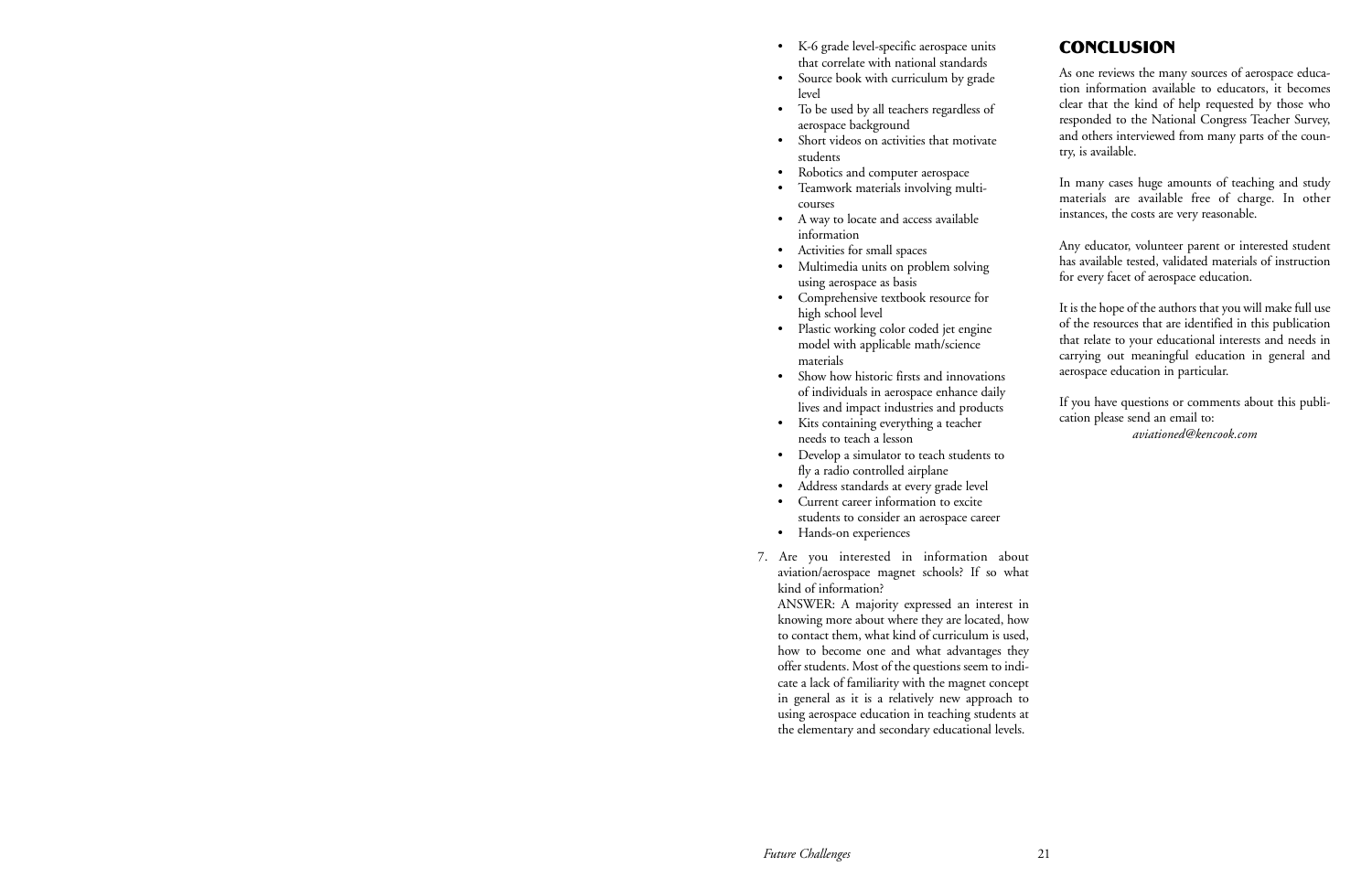- K-6 grade level-specific aerospace units that correlate with national standards
- Source book with curriculum by grade level
- To be used by all teachers regardless of aerospace background
- Short videos on activities that motivate students
- Robotics and computer aerospace
- Teamwork materials involving multicourses
- A way to locate and access available information
- Activities for small spaces
- Multimedia units on problem solving using aerospace as basis
- Comprehensive textbook resource for high school level
- Plastic working color coded jet engine model with applicable math/science materials
- Show how historic firsts and innovations of individuals in aerospace enhance daily lives and impact industries and products
- Kits containing everything a teacher needs to teach a lesson
- Develop a simulator to teach students to fly a radio controlled airplane
- Address standards at every grade level
- Current career information to excite students to consider an aerospace career
- Hands-on experiences
- 7. Are you interested in information about aviation/aerospace magnet schools? If so what kind of information?

ANSWER: A majority expressed an interest in knowing more about where they are located, how to contact them, what kind of curriculum is used, how to become one and what advantages they offer students. Most of the questions seem to indicate a lack of familiarity with the magnet concept in general as it is a relatively new approach to using aerospace education in teaching students at the elementary and secondary educational levels.

As one reviews the many sources of aerospace education information available to educators, it becomes clear that the kind of help requested by those who responded to the National Congress Teacher Survey, and others interviewed from many parts of the country, is available.

In many cases huge amounts of teaching and study materials are available free of charge. In other instances, the costs are very reasonable.

Any educator, volunteer parent or interested student has available tested, validated materials of instruction for every facet of aerospace education.

It is the hope of the authors that you will make full use of the resources that are identified in this publication that relate to your educational interests and needs in carrying out meaningful education in general and aerospace education in particular.

If you have questions or comments about this publication please send an email to: *aviationed@kencook.com*

### **CONCLUSION**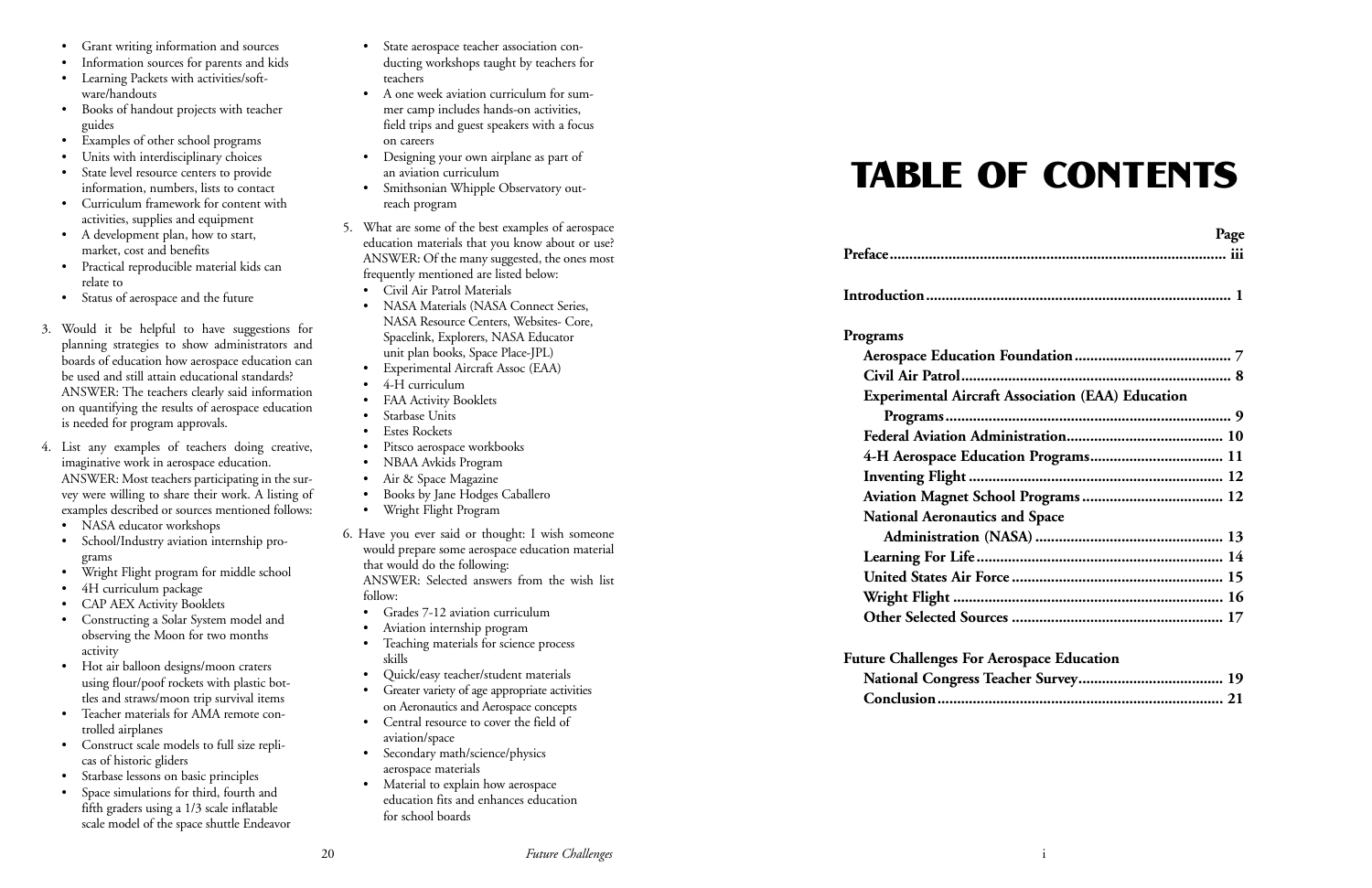- Grant writing information and sources
- Information sources for parents and kids
- Learning Packets with activities/software/handouts
- Books of handout projects with teacher guides
- Examples of other school programs
- Units with interdisciplinary choices
- State level resource centers to provide information, numbers, lists to contact
- Curriculum framework for content with activities, supplies and equipment
- A development plan, how to start, market, cost and benefits
- Practical reproducible material kids can relate to
- Status of aerospace and the future
- 3. Would it be helpful to have suggestions for planning strategies to show administrators and boards of education how aerospace education can be used and still attain educational standards? ANSWER: The teachers clearly said information on quantifying the results of aerospace education is needed for program approvals.
- 4. List any examples of teachers doing creative, imaginative work in aerospace education. ANSWER: Most teachers participating in the survey were willing to share their work. A listing of examples described or sources mentioned follows:
	- NASA educator workshops
	- School/Industry aviation internship programs
	- Wright Flight program for middle school
	- 4H curriculum package
	- CAP AEX Activity Booklets
	- Constructing a Solar System model and observing the Moon for two months activity
	- Hot air balloon designs/moon craters using flour/poof rockets with plastic bottles and straws/moon trip survival items
	- Teacher materials for AMA remote controlled airplanes
	- Construct scale models to full size replicas of historic gliders
	- Starbase lessons on basic principles
	- Space simulations for third, fourth and fifth graders using a 1/3 scale inflatable scale model of the space shuttle Endeavor
- State aerospace teacher association conducting workshops taught by teachers for teachers
- A one week aviation curriculum for summer camp includes hands-on activities, field trips and guest speakers with a focus on careers
- Designing your own airplane as part of an aviation curriculum
- Smithsonian Whipple Observatory outreach program
- 5. What are some of the best examples of aerospace education materials that you know about or use? ANSWER: Of the many suggested, the ones most frequently mentioned are listed below:
	- Civil Air Patrol Materials
	- NASA Materials (NASA Connect Series, NASA Resource Centers, Websites- Core, Spacelink, Explorers, NASA Educator unit plan books, Space Place-JPL)
	- Experimental Aircraft Assoc (EAA)
	- 4-H curriculum
	- FAA Activity Booklets
	- Starbase Units
	- Estes Rockets
	- Pitsco aerospace workbooks
	- NBAA Avkids Program
	- Air & Space Magazine
	- Books by Jane Hodges Caballero
	- Wright Flight Program
- 6. Have you ever said or thought: I wish someone would prepare some aerospace education material that would do the following: ANSWER: Selected answers from the wish list follow:
	- Grades 7-12 aviation curriculum
	- Aviation internship program
	- Teaching materials for science process skills
	- Quick/easy teacher/student materials
	- Greater variety of age appropriate activities on Aeronautics and Aerospace concepts
	- Central resource to cover the field of aviation/space
	- Secondary math/science/physics aerospace materials
	- Material to explain how aerospace education fits and enhances education for school boards

# TABLE OF CONTENTS

| Page |
|------|
|      |
|      |

| Programs |                                           |
|----------|-------------------------------------------|
|          | <b>Aerospace Education Foundation</b>     |
|          |                                           |
|          | <b>Experimental Aircraft Associatio</b>   |
|          | Programs                                  |
|          | <b>Federal Aviation Administration</b>    |
|          | <b>4-H Aerospace Education Progra</b>     |
|          | Inventing Flight                          |
|          | <b>Aviation Magnet School Progran</b>     |
|          | <b>National Aeronautics and Space</b>     |
|          | Administration (NASA)                     |
|          | Learning For Life                         |
|          | United States Air Force                   |
|          | Wright Flight                             |
|          | Other Selected Sources                    |
|          | <b>Future Challenges For Aerospace Eq</b> |
|          | <b>National Congress Teacher Surve</b>    |
|          |                                           |

| <b>Experimental Aircraft Association (EAA) Education</b> |  |
|----------------------------------------------------------|--|
|                                                          |  |
|                                                          |  |
|                                                          |  |
|                                                          |  |
|                                                          |  |
| <b>National Aeronautics and Space</b>                    |  |
|                                                          |  |
|                                                          |  |
|                                                          |  |
|                                                          |  |
|                                                          |  |
|                                                          |  |

#### **Fospace Education**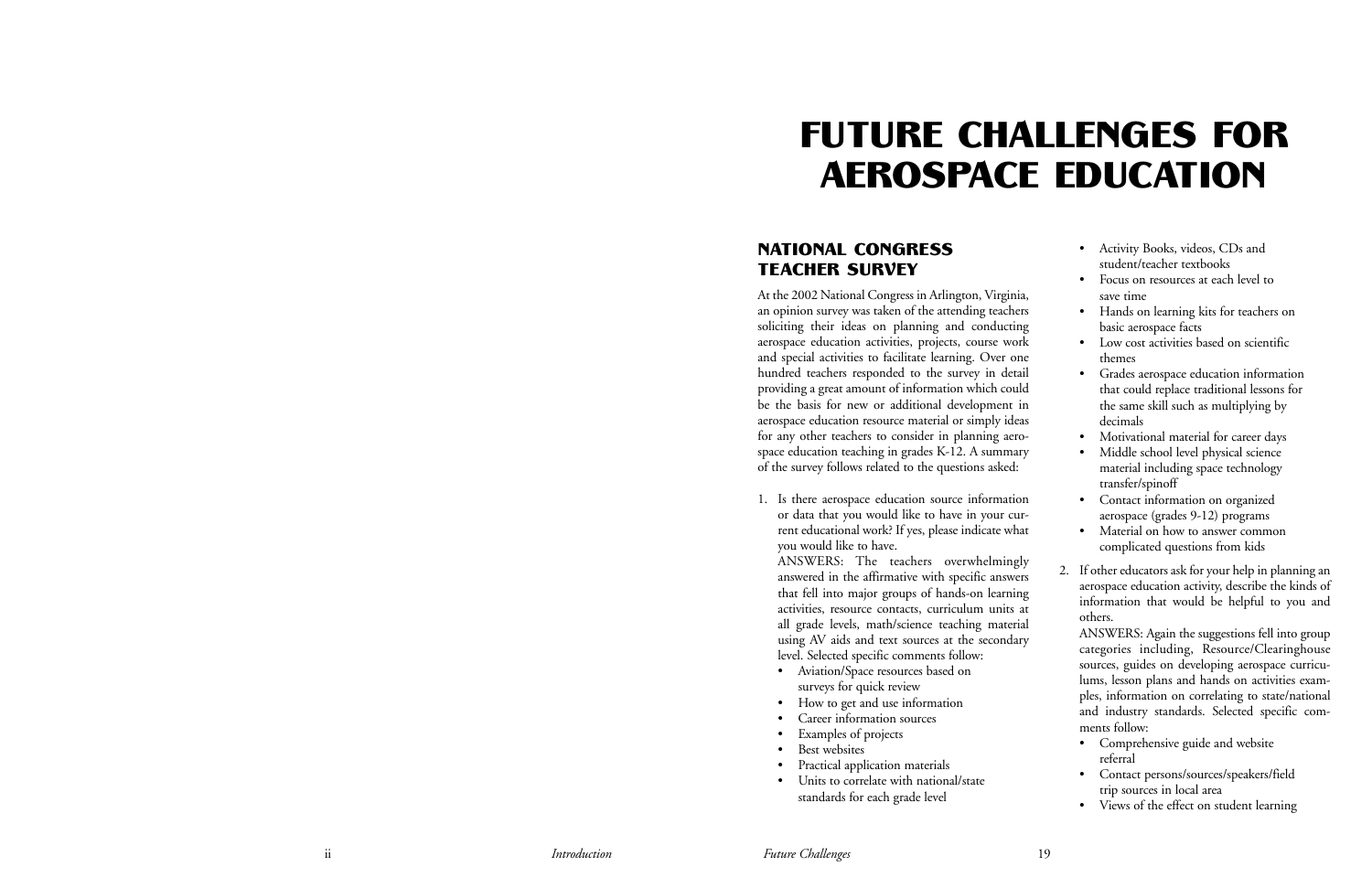#### NATIONAL CONGRESS TEACHER SURVEY

At the 2002 National Congress in Arlington, Virginia, an opinion survey was taken of the attending teachers soliciting their ideas on planning and conducting aerospace education activities, projects, course work and special activities to facilitate learning. Over one hundred teachers responded to the survey in detail providing a great amount of information which could be the basis for new or additional development in aerospace education resource material or simply ideas for any other teachers to consider in planning aerospace education teaching in grades K-12. A summary of the survey follows related to the questions asked:

1. Is there aerospace education source information or data that you would like to have in your current educational work? If yes, please indicate what you would like to have.

ANSWERS: The teachers overwhelmingly answered in the affirmative with specific answers that fell into major groups of hands-on learning activities, resource contacts, curriculum units at all grade levels, math/science teaching material using AV aids and text sources at the secondary level. Selected specific comments follow:

- Aviation/Space resources based on surveys for quick review
- How to get and use information
- Career information sources
- Examples of projects
- Best websites
- Practical application materials
- Units to correlate with national/state standards for each grade level

|    | Activity Books, videos, CDs and                                                                                                                                       |
|----|-----------------------------------------------------------------------------------------------------------------------------------------------------------------------|
|    | student/teacher textbooks                                                                                                                                             |
|    | Focus on resources at each level to                                                                                                                                   |
|    | save time                                                                                                                                                             |
|    | Hands on learning kits for teachers on                                                                                                                                |
|    | basic aerospace facts                                                                                                                                                 |
|    | Low cost activities based on scientific                                                                                                                               |
|    | themes                                                                                                                                                                |
|    | Grades aerospace education information                                                                                                                                |
|    | that could replace traditional lessons for                                                                                                                            |
|    | the same skill such as multiplying by                                                                                                                                 |
|    | decimals                                                                                                                                                              |
|    | Motivational material for career days                                                                                                                                 |
|    | Middle school level physical science                                                                                                                                  |
|    | material including space technology                                                                                                                                   |
|    | transfer/spinoff                                                                                                                                                      |
|    | Contact information on organized                                                                                                                                      |
|    | aerospace (grades 9-12) programs                                                                                                                                      |
|    | Material on how to answer common                                                                                                                                      |
|    | complicated questions from kids                                                                                                                                       |
| 2. | If other educators ask for your help in planning an<br>aerospace education activity, describe the kinds of<br>information that would be helpful to you and<br>others. |
|    | ANSWERS: Again the suggestions fell into group<br>categories including, Resource/Clearinghouse<br>sources, guides on developing aerospace curricu-                    |
|    | lums, lesson plans and hands on activities exam-                                                                                                                      |
|    | ples, information on correlating to state/national                                                                                                                    |
|    | and industry standards. Selected specific com-                                                                                                                        |
|    | ments follow:                                                                                                                                                         |
|    | Comprehensive guide and website                                                                                                                                       |
|    | referral                                                                                                                                                              |
|    | Contact persons/sources/speakers/field                                                                                                                                |
|    |                                                                                                                                                                       |

- trip sources in local area
- Views of the effect on student learning

# FUTURE CHALLENGES FOR AEROSPACE EDUCATION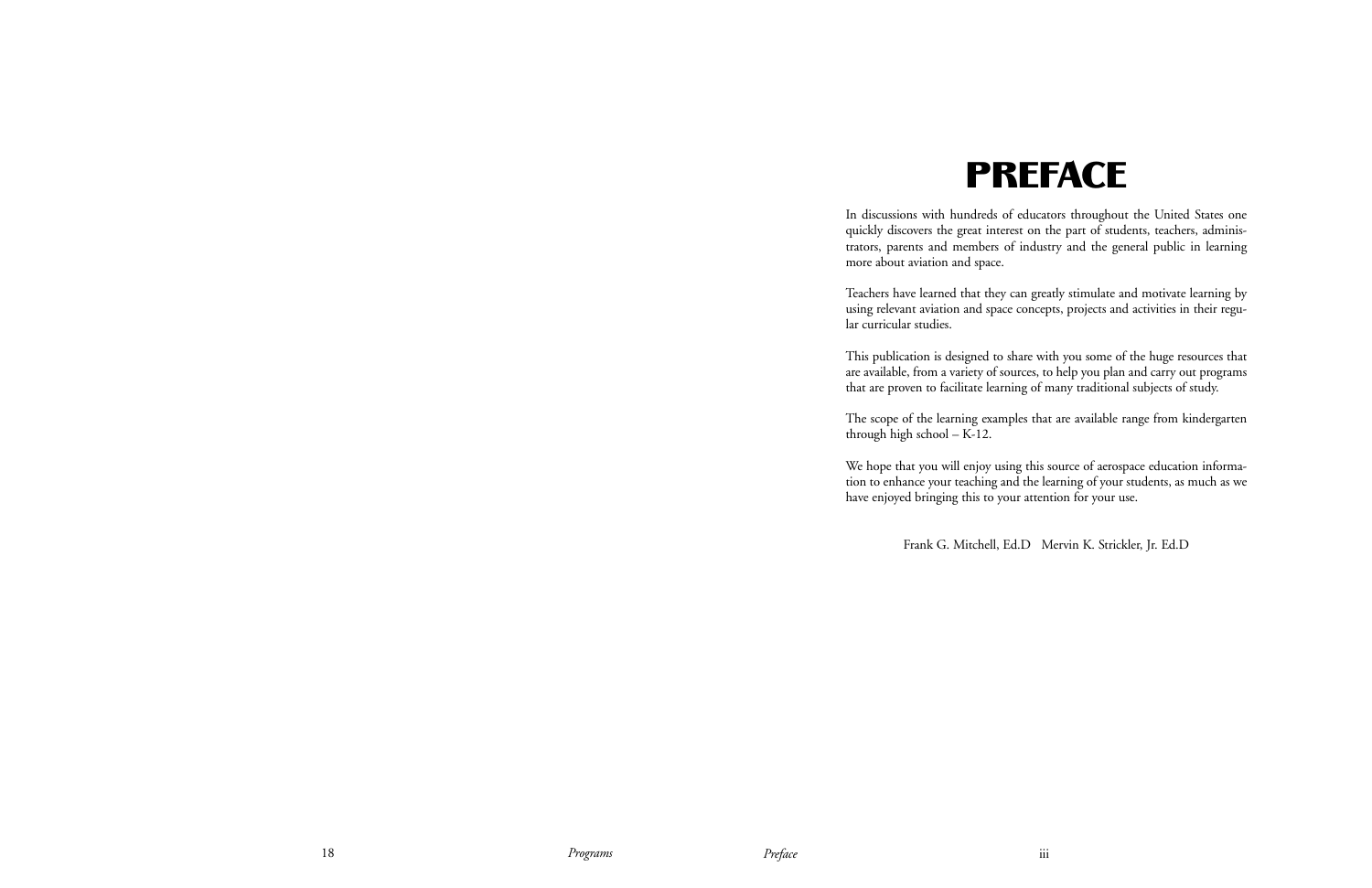## PREFACE

In discussions with hundreds of educators throughout the United States one quickly discovers the great interest on the part of students, teachers, administrators, parents and members of industry and the general public in learning more about aviation and space.

Teachers have learned that they can greatly stimulate and motivate learning by using relevant aviation and space concepts, projects and activities in their regular curricular studies.

This publication is designed to share with you some of the huge resources that are available, from a variety of sources, to help you plan and carry out programs that are proven to facilitate learning of many traditional subjects of study.

The scope of the learning examples that are available range from kindergarten through high school – K-12.

We hope that you will enjoy using this source of aerospace education information to enhance your teaching and the learning of your students, as much as we have enjoyed bringing this to your attention for your use.

Frank G. Mitchell, Ed.D Mervin K. Strickler, Jr. Ed.D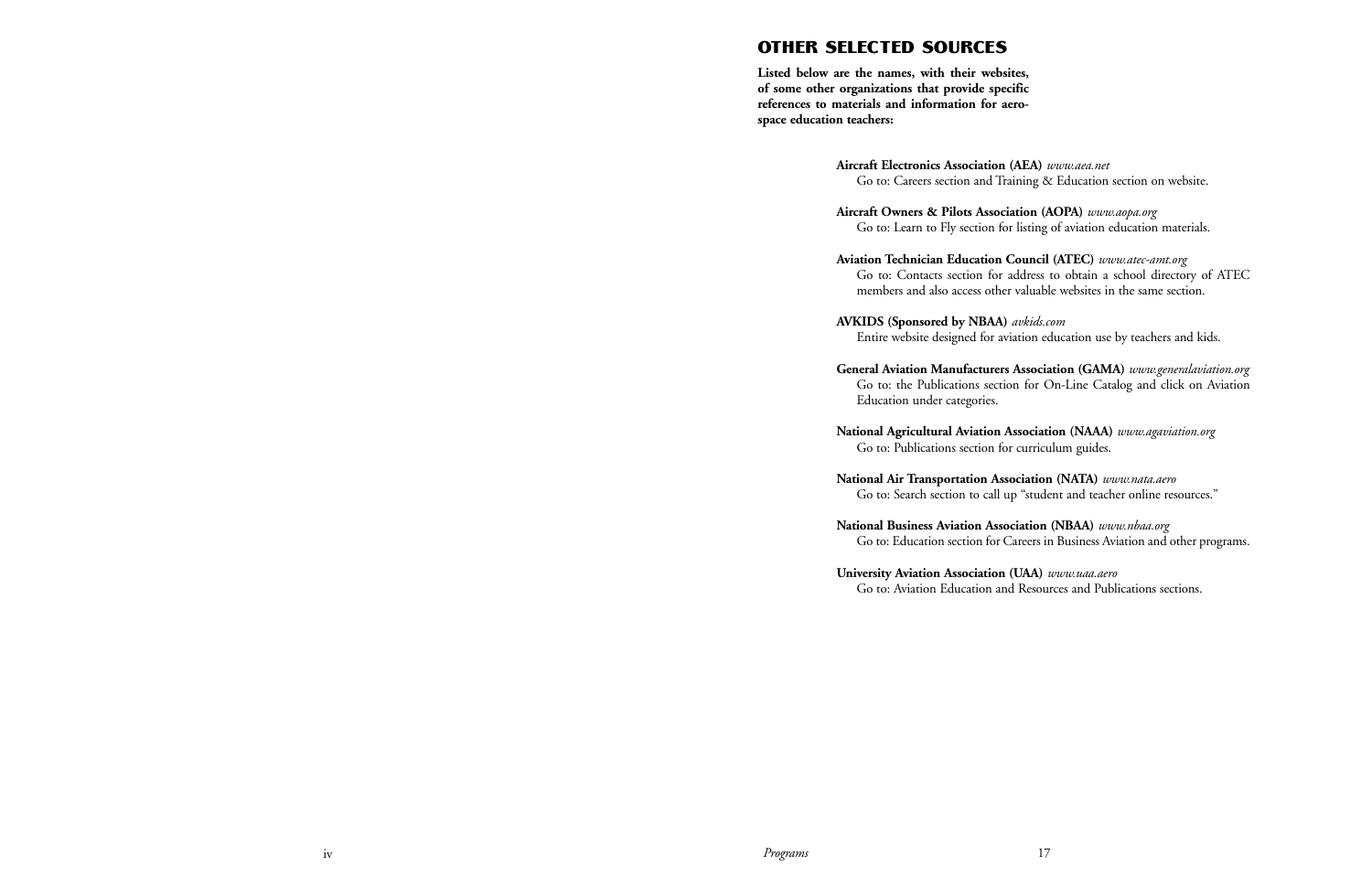## OTHER SELECTED SOURCES

**Listed below are the names, with their websites, of some other organizations that provide specific references to materials and information for aerospace education teachers:**

**Aircraft Electronics Association (AEA)** *www.aea.net* Go to: Careers section and Training & Education section on website.

**Aircraft Owners & Pilots Association (AOPA)** *www.aopa.org* Go to: Learn to Fly section for listing of aviation education materials.

**Aviation Technician Education Council (ATEC)** *www.atec-amt.org* Go to: Contacts section for address to obtain a school directory of ATEC members and also access other valuable websites in the same section.

**AVKIDS (Sponsored by NBAA)** *avkids.com* Entire website designed for aviation education use by teachers and kids.

**General Aviation Manufacturers Association (GAMA)** *www.generalaviation.org* Go to: the Publications section for On-Line Catalog and click on Aviation

Education under categories.

**National Agricultural Aviation Association (NAAA)** *www.agaviation.org* Go to: Publications section for curriculum guides.

**National Air Transportation Association (NATA)** *www.nata.aero* Go to: Search section to call up "student and teacher online resources."

**National Business Aviation Association (NBAA)** *www.nbaa.org* Go to: Education section for Careers in Business Aviation and other programs.

**University Aviation Association (UAA)** *www.uaa.aero* Go to: Aviation Education and Resources and Publications sections.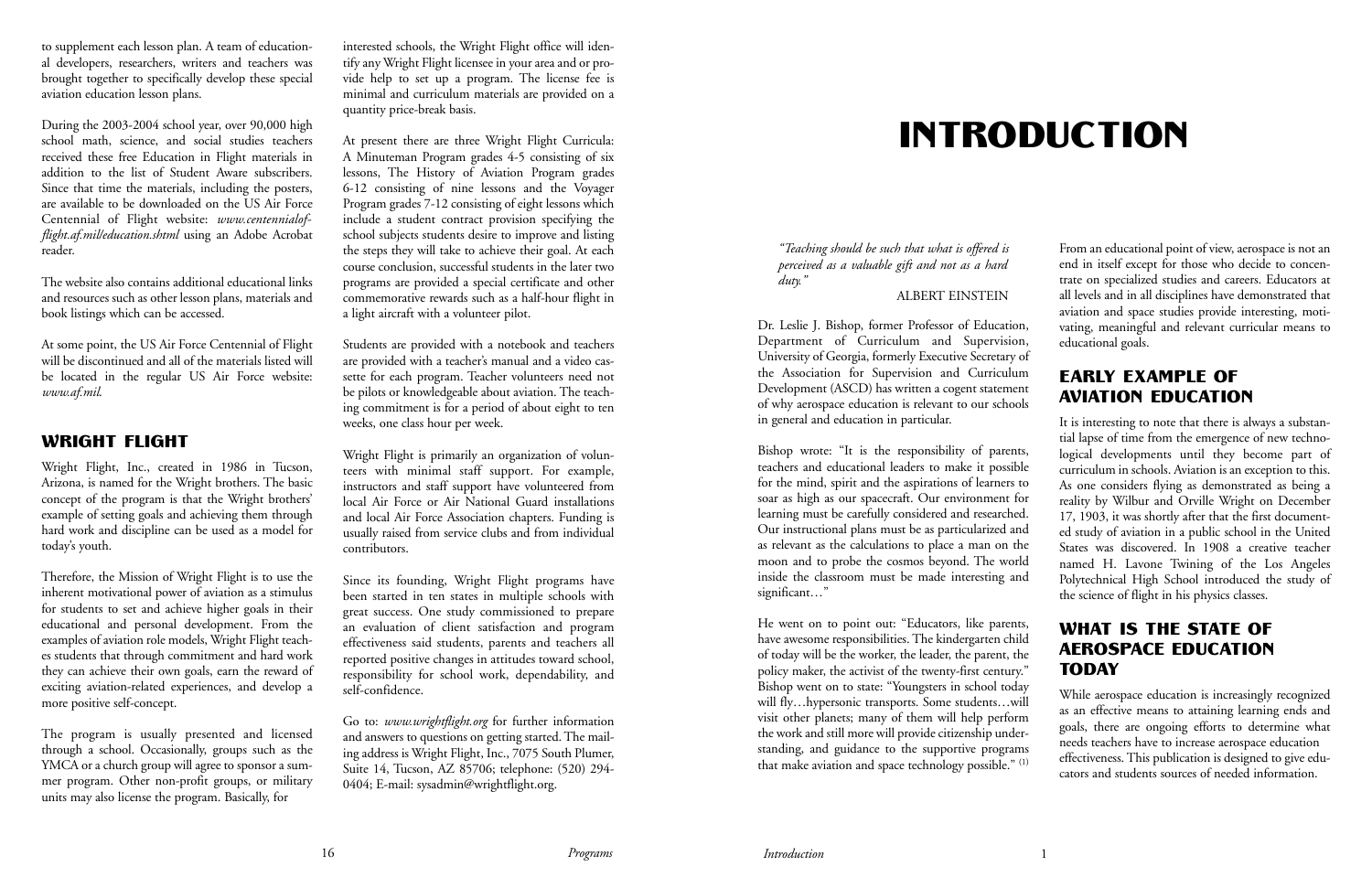to supplement each lesson plan. A team of educational developers, researchers, writers and teachers was brought together to specifically develop these special aviation education lesson plans.

During the 2003-2004 school year, over 90,000 high school math, science, and social studies teachers received these free Education in Flight materials in addition to the list of Student Aware subscribers. Since that time the materials, including the posters, are available to be downloaded on the US Air Force Centennial of Flight website: *www.centennialofflight.af.mil/education.shtml* using an Adobe Acrobat reader.

The website also contains additional educational links and resources such as other lesson plans, materials and book listings which can be accessed.

At some point, the US Air Force Centennial of Flight will be discontinued and all of the materials listed will be located in the regular US Air Force website: *www.af.mil*.

#### WRIGHT FLIGHT

Wright Flight, Inc., created in 1986 in Tucson, Arizona, is named for the Wright brothers. The basic concept of the program is that the Wright brothers' example of setting goals and achieving them through hard work and discipline can be used as a model for today's youth.

Therefore, the Mission of Wright Flight is to use the inherent motivational power of aviation as a stimulus for students to set and achieve higher goals in their educational and personal development. From the examples of aviation role models, Wright Flight teaches students that through commitment and hard work they can achieve their own goals, earn the reward of exciting aviation-related experiences, and develop a more positive self-concept.

The program is usually presented and licensed through a school. Occasionally, groups such as the YMCA or a church group will agree to sponsor a summer program. Other non-profit groups, or military units may also license the program. Basically, for

interested schools, the Wright Flight office will identify any Wright Flight licensee in your area and or provide help to set up a program. The license fee is minimal and curriculum materials are provided on a quantity price-break basis.

> Bishop wrote: "It is the responsibility of parents, teachers and educational leaders to make it possible for the mind, spirit and the aspirations of learners to soar as high as our spacecraft. Our environment for learning must be carefully considered and researched. Our instructional plans must be as particularized and as relevant as the calculations to place a man on the moon and to probe the cosmos beyond. The world inside the classroom must be made interesting and significant..."

At present there are three Wright Flight Curricula: A Minuteman Program grades 4-5 consisting of six lessons, The History of Aviation Program grades 6-12 consisting of nine lessons and the Voyager Program grades 7-12 consisting of eight lessons which include a student contract provision specifying the school subjects students desire to improve and listing the steps they will take to achieve their goal. At each course conclusion, successful students in the later two programs are provided a special certificate and other commemorative rewards such as a half-hour flight in a light aircraft with a volunteer pilot.

Students are provided with a notebook and teachers are provided with a teacher's manual and a video cassette for each program. Teacher volunteers need not be pilots or knowledgeable about aviation. The teaching commitment is for a period of about eight to ten weeks, one class hour per week.

Wright Flight is primarily an organization of volunteers with minimal staff support. For example, instructors and staff support have volunteered from local Air Force or Air National Guard installations and local Air Force Association chapters. Funding is usually raised from service clubs and from individual contributors.

Since its founding, Wright Flight programs have been started in ten states in multiple schools with great success. One study commissioned to prepare an evaluation of client satisfaction and program effectiveness said students, parents and teachers all reported positive changes in attitudes toward school, responsibility for school work, dependability, and self-confidence.

Go to: *www.wrightflight.org* for further information and answers to questions on getting started. The mailing address is Wright Flight, Inc., 7075 South Plumer, Suite 14, Tucson, AZ 85706; telephone: (520) 294- 0404; E-mail: sysadmin@wrightflight.org.

# INTRODUCTION

*"Teaching should be such that what is offered is perceived as a valuable gift and not as a hard duty."*

#### ALBERT EINSTEIN

Dr. Leslie J. Bishop, former Professor of Education, Department of Curriculum and Supervision, University of Georgia, formerly Executive Secretary of the Association for Supervision and Curriculum Development (ASCD) has written a cogent statement of why aerospace education is relevant to our schools in general and education in particular.

He went on to point out: "Educators, like parents, have awesome responsibilities. The kindergarten child of today will be the worker, the leader, the parent, the policy maker, the activist of the twenty-first century." Bishop went on to state: "Youngsters in school today will fly...hypersonic transports. Some students...will visit other planets; many of them will help perform the work and still more will provide citizenship understanding, and guidance to the supportive programs that make aviation and space technology possible." (1)

From an educational point of view, aerospace is not an end in itself except for those who decide to concentrate on specialized studies and careers. Educators at all levels and in all disciplines have demonstrated that aviation and space studies provide interesting, motivating, meaningful and relevant curricular means to educational goals.

#### EARLY EXAMPLE OF AVIATION EDUCATION

It is interesting to note that there is always a substantial lapse of time from the emergence of new technological developments until they become part of curriculum in schools. Aviation is an exception to this. As one considers flying as demonstrated as being a reality by Wilbur and Orville Wright on December 17, 1903, it was shortly after that the first documented study of aviation in a public school in the United States was discovered. In 1908 a creative teacher named H. Lavone Twining of the Los Angeles Polytechnical High School introduced the study of the science of flight in his physics classes.

### WHAT IS THE STATE OF AEROSPACE EDUCATION TODAY

While aerospace education is increasingly recognized as an effective means to attaining learning ends and goals, there are ongoing efforts to determine what needs teachers have to increase aerospace education effectiveness. This publication is designed to give educators and students sources of needed information.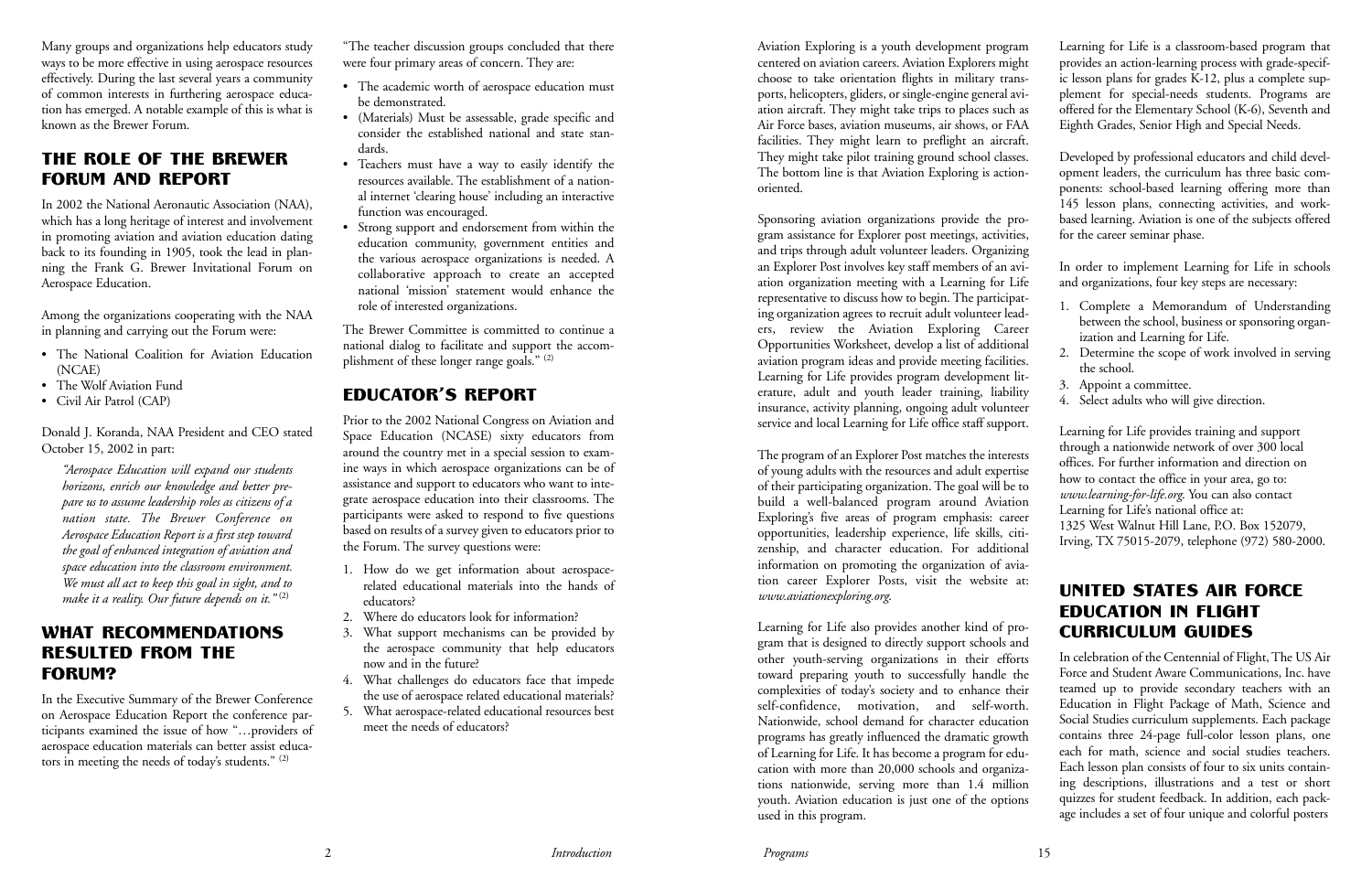Many groups and organizations help educators study ways to be more effective in using aerospace resources effectively. During the last several years a community of common interests in furthering aerospace education has emerged. A notable example of this is what is known as the Brewer Forum.

### THE ROLE OF THE BREWER FORUM AND REPORT

*"Aerospace Education will expand our students horizons, enrich our knowledge and better prepare us to assume leadership roles as citizens of a nation state. The Brewer Conference on Aerospace Education Report is a first step toward the goal of enhanced integration of aviation and space education into the classroom environment. We must all act to keep this goal in sight, and to* make it a reality. Our future depends on it."<sup>(2)</sup>

In 2002 the National Aeronautic Association (NAA), which has a long heritage of interest and involvement in promoting aviation and aviation education dating back to its founding in 1905, took the lead in planning the Frank G. Brewer Invitational Forum on Aerospace Education.

Among the organizations cooperating with the NAA in planning and carrying out the Forum were:

- The National Coalition for Aviation Education (NCAE)
- The Wolf Aviation Fund
- Civil Air Patrol (CAP)

Donald J. Koranda, NAA President and CEO stated October 15, 2002 in part:

#### WHAT RECOMMENDATIONS RESULTED FROM THE FORUM?

In the Executive Summary of the Brewer Conference on Aerospace Education Report the conference participants examined the issue of how "…providers of aerospace education materials can better assist educators in meeting the needs of today's students." (2)

"The teacher discussion groups concluded that there were four primary areas of concern. They are:

- The academic worth of aerospace education must be demonstrated.
- (Materials) Must be assessable, grade specific and consider the established national and state standards.
- Teachers must have a way to easily identify the resources available. The establishment of a national internet 'clearing house' including an interactive function was encouraged.
- Strong support and endorsement from within the education community, government entities and the various aerospace organizations is needed. A collaborative approach to create an accepted national 'mission' statement would enhance the role of interested organizations.

The Brewer Committee is committed to continue a national dialog to facilitate and support the accomplishment of these longer range goals." (2)

### EDUCATOR'S REPORT

Prior to the 2002 National Congress on Aviation and Space Education (NCASE) sixty educators from around the country met in a special session to examine ways in which aerospace organizations can be of assistance and support to educators who want to integrate aerospace education into their classrooms. The participants were asked to respond to five questions based on results of a survey given to educators prior to the Forum. The survey questions were:

- 1. How do we get information about aerospacerelated educational materials into the hands of educators?
- 2. Where do educators look for information?
- 3. What support mechanisms can be provided by the aerospace community that help educators now and in the future?
- 4. What challenges do educators face that impede the use of aerospace related educational materials?
- 5. What aerospace-related educational resources best meet the needs of educators?

Aviation Exploring is a youth development program centered on aviation careers. Aviation Explorers might choose to take orientation flights in military transports, helicopters, gliders, or single-engine general aviation aircraft. They might take trips to places such as Air Force bases, aviation museums, air shows, or FAA facilities. They might learn to preflight an aircraft. They might take pilot training ground school classes. The bottom line is that Aviation Exploring is actionoriented.

Sponsoring aviation organizations provide the program assistance for Explorer post meetings, activities, and trips through adult volunteer leaders. Organizing an Explorer Post involves key staff members of an aviation organization meeting with a Learning for Life representative to discuss how to begin. The participating organization agrees to recruit adult volunteer leaders, review the Aviation Exploring Career Opportunities Worksheet, develop a list of additional aviation program ideas and provide meeting facilities. Learning for Life provides program development literature, adult and youth leader training, liability insurance, activity planning, ongoing adult volunteer service and local Learning for Life office staff support.

The program of an Explorer Post matches the interests of young adults with the resources and adult expertise of their participating organization. The goal will be to build a well-balanced program around Aviation Exploring's five areas of program emphasis: career opportunities, leadership experience, life skills, citizenship, and character education. For additional information on promoting the organization of aviation career Explorer Posts, visit the website at: *www.aviationexploring.org*.

Learning for Life also provides another kind of program that is designed to directly support schools and other youth-serving organizations in their efforts toward preparing youth to successfully handle the complexities of today's society and to enhance their self-confidence, motivation, and self-worth. Nationwide, school demand for character education programs has greatly influenced the dramatic growth of Learning for Life. It has become a program for education with more than 20,000 schools and organizations nationwide, serving more than 1.4 million youth. Aviation education is just one of the options used in this program.

Learning for Life is a classroom-based program that provides an action-learning process with grade-specific lesson plans for grades K-12, plus a complete supplement for special-needs students. Programs are offered for the Elementary School (K-6), Seventh and Eighth Grades, Senior High and Special Needs.

Developed by professional educators and child development leaders, the curriculum has three basic components: school-based learning offering more than 145 lesson plans, connecting activities, and workbased learning. Aviation is one of the subjects offered for the career seminar phase.

In order to implement Learning for Life in schools and organizations, four key steps are necessary:

- 1. Complete a Memorandum of Understanding between the school, business or sponsoring organization and Learning for Life.
- 2. Determine the scope of work involved in serving the school.
- 3. Appoint a committee.
- 4. Select adults who will give direction.

Learning for Life provides training and support through a nationwide network of over 300 local offices. For further information and direction on how to contact the office in your area, go to: *www.learning-for-life.org*. You can also contact Learning for Life's national office at: 1325 West Walnut Hill Lane, P.O. Box 152079, Irving, TX 75015-2079, telephone (972) 580-2000.

#### UNITED STATES AIR FORCE EDUCATION IN FLIGHT CURRICULUM GUIDES

In celebration of the Centennial of Flight, The US Air Force and Student Aware Communications, Inc. have teamed up to provide secondary teachers with an Education in Flight Package of Math, Science and Social Studies curriculum supplements. Each package contains three 24-page full-color lesson plans, one each for math, science and social studies teachers. Each lesson plan consists of four to six units containing descriptions, illustrations and a test or short quizzes for student feedback. In addition, each package includes a set of four unique and colorful posters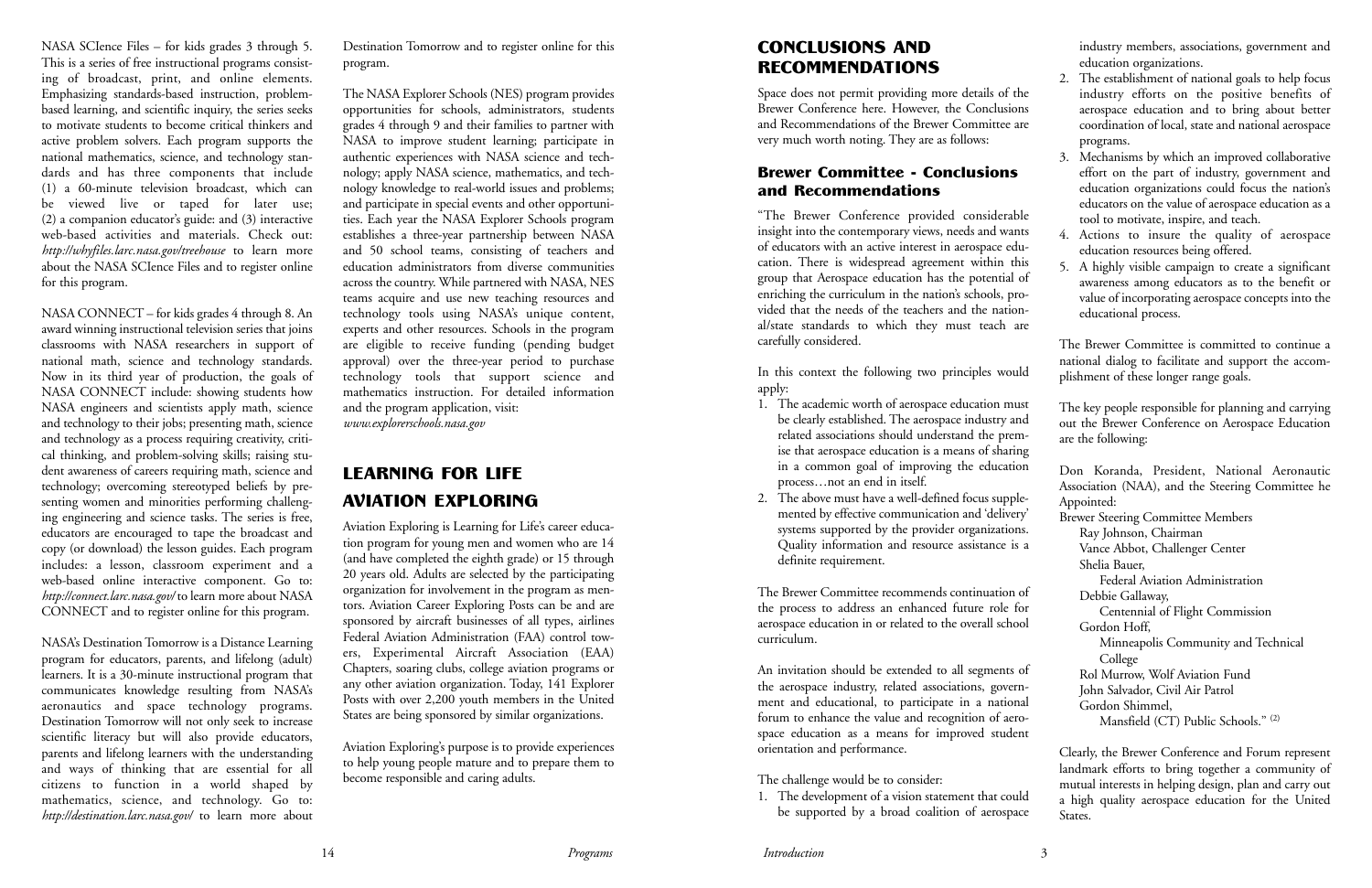NASA SCIence Files – for kids grades 3 through 5. This is a series of free instructional programs consisting of broadcast, print, and online elements. Emphasizing standards-based instruction, problembased learning, and scientific inquiry, the series seeks to motivate students to become critical thinkers and active problem solvers. Each program supports the national mathematics, science, and technology standards and has three components that include (1) a 60-minute television broadcast, which can be viewed live or taped for later use; (2) a companion educator's guide: and (3) interactive web-based activities and materials. Check out: *http://whyfiles.larc.nasa.gov/treehouse* to learn more about the NASA SCIence Files and to register online for this program.

NASA CONNECT – for kids grades 4 through 8. An award winning instructional television series that joins classrooms with NASA researchers in support of national math, science and technology standards. Now in its third year of production, the goals of NASA CONNECT include: showing students how NASA engineers and scientists apply math, science and technology to their jobs; presenting math, science and technology as a process requiring creativity, critical thinking, and problem-solving skills; raising student awareness of careers requiring math, science and technology; overcoming stereotyped beliefs by presenting women and minorities performing challenging engineering and science tasks. The series is free, educators are encouraged to tape the broadcast and copy (or download) the lesson guides. Each program includes: a lesson, classroom experiment and a web-based online interactive component. Go to: *http://connect.larc.nasa.gov/* to learn more about NASA CONNECT and to register online for this program.

NASA's Destination Tomorrow is a Distance Learning program for educators, parents, and lifelong (adult) learners. It is a 30-minute instructional program that communicates knowledge resulting from NASA's aeronautics and space technology programs. Destination Tomorrow will not only seek to increase scientific literacy but will also provide educators, parents and lifelong learners with the understanding and ways of thinking that are essential for all citizens to function in a world shaped by mathematics, science, and technology. Go to: *http://destination.larc.nasa.gov/* to learn more about Destination Tomorrow and to register online for this program.

The NASA Explorer Schools (NES) program provides opportunities for schools, administrators, students grades 4 through 9 and their families to partner with NASA to improve student learning; participate in authentic experiences with NASA science and technology; apply NASA science, mathematics, and technology knowledge to real-world issues and problems; and participate in special events and other opportunities. Each year the NASA Explorer Schools program establishes a three-year partnership between NASA and 50 school teams, consisting of teachers and education administrators from diverse communities across the country. While partnered with NASA, NES teams acquire and use new teaching resources and technology tools using NASA's unique content, experts and other resources. Schools in the program are eligible to receive funding (pending budget approval) over the three-year period to purchase technology tools that support science and mathematics instruction. For detailed information and the program application, visit: *www.explorerschools.nasa.gov*

## LEARNING FOR LIFE AVIATION EXPLORING

Aviation Exploring is Learning for Life's career education program for young men and women who are 14 (and have completed the eighth grade) or 15 through 20 years old. Adults are selected by the participating organization for involvement in the program as mentors. Aviation Career Exploring Posts can be and are sponsored by aircraft businesses of all types, airlines Federal Aviation Administration (FAA) control towers, Experimental Aircraft Association (EAA) Chapters, soaring clubs, college aviation programs or any other aviation organization. Today, 141 Explorer Posts with over 2,200 youth members in the United States are being sponsored by similar organizations.

Aviation Exploring's purpose is to provide experiences to help young people mature and to prepare them to become responsible and caring adults.

14 *Programs*

### CONCLUSIONS AND RECOMMENDATIONS

Space does not permit providing more details of the Brewer Conference here. However, the Conclusions and Recommendations of the Brewer Committee are very much worth noting. They are as follows:

#### Brewer Committee - Conclusions and Recommendations

"The Brewer Conference provided considerable insight into the contemporary views, needs and wants of educators with an active interest in aerospace education. There is widespread agreement within this group that Aerospace education has the potential of enriching the curriculum in the nation's schools, provided that the needs of the teachers and the national/state standards to which they must teach are carefully considered.

In this context the following two principles would apply:

- 1. The academic worth of aerospace education must be clearly established. The aerospace industry and related associations should understand the premise that aerospace education is a means of sharing in a common goal of improving the education process…not an end in itself.
- 2. The above must have a well-defined focus supplemented by effective communication and 'delivery' systems supported by the provider organizations. Quality information and resource assistance is a definite requirement.

orientation and performance.

The challenge would be to consider:

1. The development of a vision statement that could be supported by a broad coalition of aerospace industry members, associations, government and education organizations.

- 2. The establishment of national goals to help focus industry efforts on the positive benefits of aerospace education and to bring about better coordination of local, state and national aerospace programs.
	- 3. Mechanisms by which an improved collaborative effort on the part of industry, government and education organizations could focus the nation's educators on the value of aerospace education as a tool to motivate, inspire, and teach.
	- 4. Actions to insure the quality of aerospace education resources being offered.
	- 5. A highly visible campaign to create a significant awareness among educators as to the benefit or value of incorporating aerospace concepts into the educational process.

The Brewer Committee recommends continuation of the process to address an enhanced future role for aerospace education in or related to the overall school curriculum. An invitation should be extended to all segments of the aerospace industry, related associations, government and educational, to participate in a national forum to enhance the value and recognition of aerospace education as a means for improved student Federal Aviation Administration Debbie Gallaway, Centennial of Flight Commission Gordon Hoff, Minneapolis Community and Technical College Rol Murrow, Wolf Aviation Fund John Salvador, Civil Air Patrol Gordon Shimmel, Mansfield (CT) Public Schools." (2)

The Brewer Committee is committed to continue a national dialog to facilitate and support the accomplishment of these longer range goals.

The key people responsible for planning and carrying out the Brewer Conference on Aerospace Education are the following:

Don Koranda, President, National Aeronautic Association (NAA), and the Steering Committee he Appointed: Brewer Steering Committee Members Ray Johnson, Chairman Vance Abbot, Challenger Center Shelia Bauer,

Clearly, the Brewer Conference and Forum represent landmark efforts to bring together a community of mutual interests in helping design, plan and carry out a high quality aerospace education for the United States.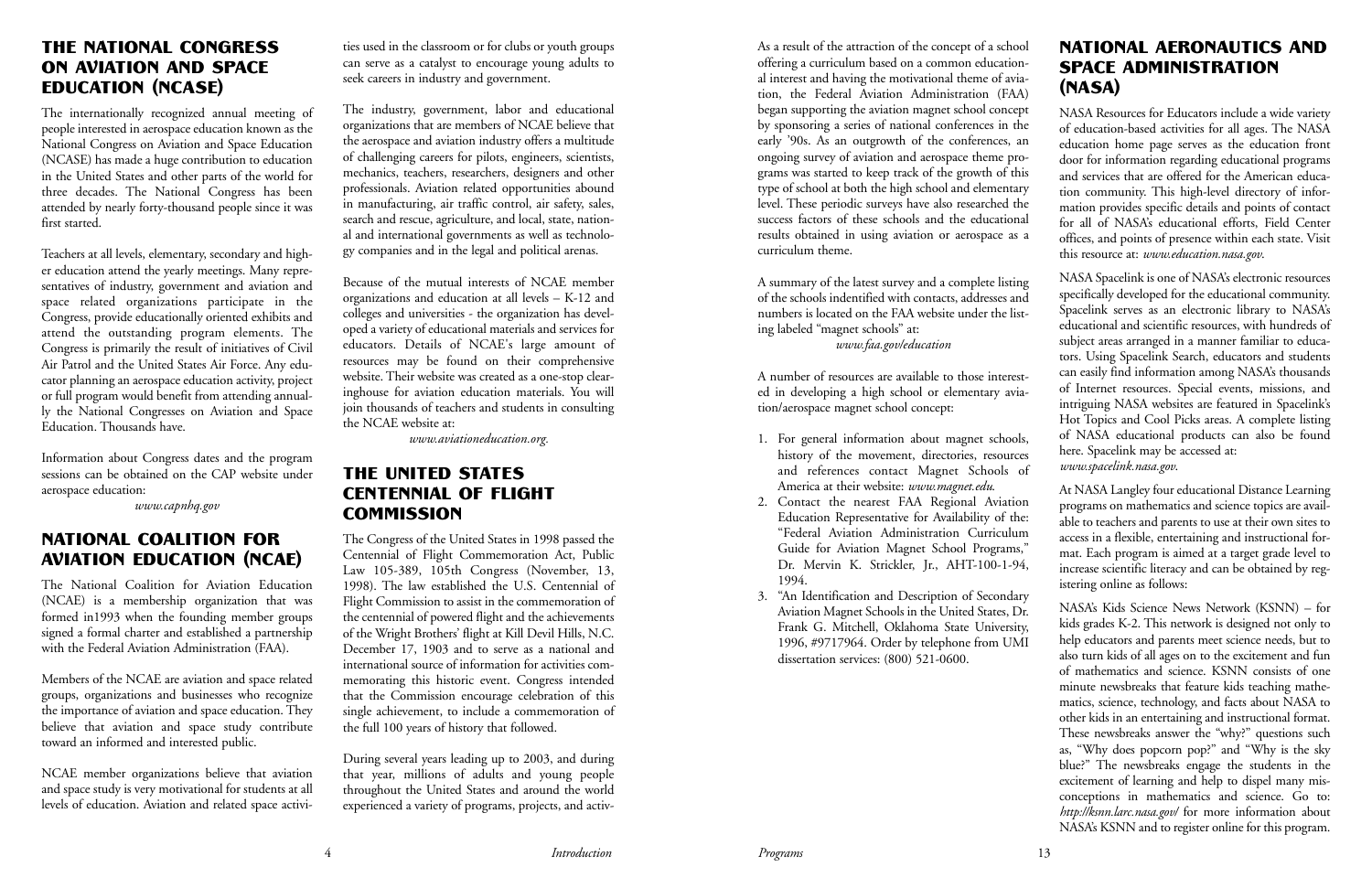#### THE NATIONAL CONGRESS ON AVIATION AND SPACE EDUCATION (NCASE)

The internationally recognized annual meeting of people interested in aerospace education known as the National Congress on Aviation and Space Education (NCASE) has made a huge contribution to education in the United States and other parts of the world for three decades. The National Congress has been attended by nearly forty-thousand people since it was first started.

Teachers at all levels, elementary, secondary and higher education attend the yearly meetings. Many representatives of industry, government and aviation and space related organizations participate in the Congress, provide educationally oriented exhibits and attend the outstanding program elements. The Congress is primarily the result of initiatives of Civil Air Patrol and the United States Air Force. Any educator planning an aerospace education activity, project or full program would benefit from attending annually the National Congresses on Aviation and Space Education. Thousands have.

Information about Congress dates and the program sessions can be obtained on the CAP website under aerospace education:

*www.capnhq.gov*

#### NATIONAL COALITION FOR AVIATION EDUCATION (NCAE)

The National Coalition for Aviation Education (NCAE) is a membership organization that was formed in1993 when the founding member groups signed a formal charter and established a partnership with the Federal Aviation Administration (FAA).

#### THE UNITED STATES CENTENNIAL OF FLIGHT **COMMISSION**

Members of the NCAE are aviation and space related groups, organizations and businesses who recognize the importance of aviation and space education. They believe that aviation and space study contribute toward an informed and interested public.

NCAE member organizations believe that aviation and space study is very motivational for students at all levels of education. Aviation and related space activities used in the classroom or for clubs or youth groups can serve as a catalyst to encourage young adults to seek careers in industry and government.

The industry, government, labor and educational organizations that are members of NCAE believe that the aerospace and aviation industry offers a multitude of challenging careers for pilots, engineers, scientists, mechanics, teachers, researchers, designers and other professionals. Aviation related opportunities abound in manufacturing, air traffic control, air safety, sales, search and rescue, agriculture, and local, state, national and international governments as well as technology companies and in the legal and political arenas.

Because of the mutual interests of NCAE member organizations and education at all levels – K-12 and colleges and universities - the organization has developed a variety of educational materials and services for educators. Details of NCAE's large amount of resources may be found on their comprehensive website. Their website was created as a one-stop clearinghouse for aviation education materials. You will join thousands of teachers and students in consulting the NCAE website at:

*www.aviationeducation.org.*

The Congress of the United States in 1998 passed the Centennial of Flight Commemoration Act, Public Law 105-389, 105th Congress (November, 13, 1998). The law established the U.S. Centennial of Flight Commission to assist in the commemoration of the centennial of powered flight and the achievements of the Wright Brothers' flight at Kill Devil Hills, N.C. December 17, 1903 and to serve as a national and international source of information for activities commemorating this historic event. Congress intended that the Commission encourage celebration of this single achievement, to include a commemoration of the full 100 years of history that followed.

During several years leading up to 2003, and during that year, millions of adults and young people throughout the United States and around the world experienced a variety of programs, projects, and activ-

As a result of the attraction of the concept of a school offering a curriculum based on a common educational interest and having the motivational theme of aviation, the Federal Aviation Administration (FAA) began supporting the aviation magnet school concept by sponsoring a series of national conferences in the early '90s. As an outgrowth of the conferences, an ongoing survey of aviation and aerospace theme programs was started to keep track of the growth of this type of school at both the high school and elementary level. These periodic surveys have also researched the success factors of these schools and the educational results obtained in using aviation or aerospace as a curriculum theme.

A summary of the latest survey and a complete listing of the schools indentified with contacts, addresses and numbers is located on the FAA website under the listing labeled "magnet schools" at:

*www.faa.gov/education*

A number of resources are available to those interested in developing a high school or elementary aviation/aerospace magnet school concept:

- 1. For general information about magnet schools, history of the movement, directories, resources and references contact Magnet Schools of America at their website: *www.magnet.edu*.
- 2. Contact the nearest FAA Regional Aviation Education Representative for Availability of the: "Federal Aviation Administration Curriculum Guide for Aviation Magnet School Programs," Dr. Mervin K. Strickler, Jr., AHT-100-1-94, 1994.
- 3. "An Identification and Description of Secondary Aviation Magnet Schools in the United States, Dr. Frank G. Mitchell, Oklahoma State University, 1996, #9717964. Order by telephone from UMI dissertation services: (800) 521-0600.

### NATIONAL AERONAUTICS AND SPACE ADMINISTRATION (NASA)

NASA Resources for Educators include a wide variety of education-based activities for all ages. The NASA education home page serves as the education front door for information regarding educational programs and services that are offered for the American education community. This high-level directory of information provides specific details and points of contact for all of NASA's educational efforts, Field Center offices, and points of presence within each state. Visit this resource at: *www.education.nasa.gov*.

NASA Spacelink is one of NASA's electronic resources specifically developed for the educational community. Spacelink serves as an electronic library to NASA's educational and scientific resources, with hundreds of subject areas arranged in a manner familiar to educators. Using Spacelink Search, educators and students can easily find information among NASA's thousands of Internet resources. Special events, missions, and intriguing NASA websites are featured in Spacelink's Hot Topics and Cool Picks areas. A complete listing of NASA educational products can also be found here. Spacelink may be accessed at: *www.spacelink.nasa.gov*.

At NASA Langley four educational Distance Learning programs on mathematics and science topics are available to teachers and parents to use at their own sites to access in a flexible, entertaining and instructional format. Each program is aimed at a target grade level to increase scientific literacy and can be obtained by registering online as follows:

NASA's Kids Science News Network (KSNN) – for kids grades K-2. This network is designed not only to help educators and parents meet science needs, but to also turn kids of all ages on to the excitement and fun of mathematics and science. KSNN consists of one minute newsbreaks that feature kids teaching mathematics, science, technology, and facts about NASA to other kids in an entertaining and instructional format. These newsbreaks answer the "why?" questions such as, "Why does popcorn pop?" and "Why is the sky blue?" The newsbreaks engage the students in the excitement of learning and help to dispel many misconceptions in mathematics and science. Go to: *http://ksnn.larc.nasa.gov/* for more information about NASA's KSNN and to register online for this program.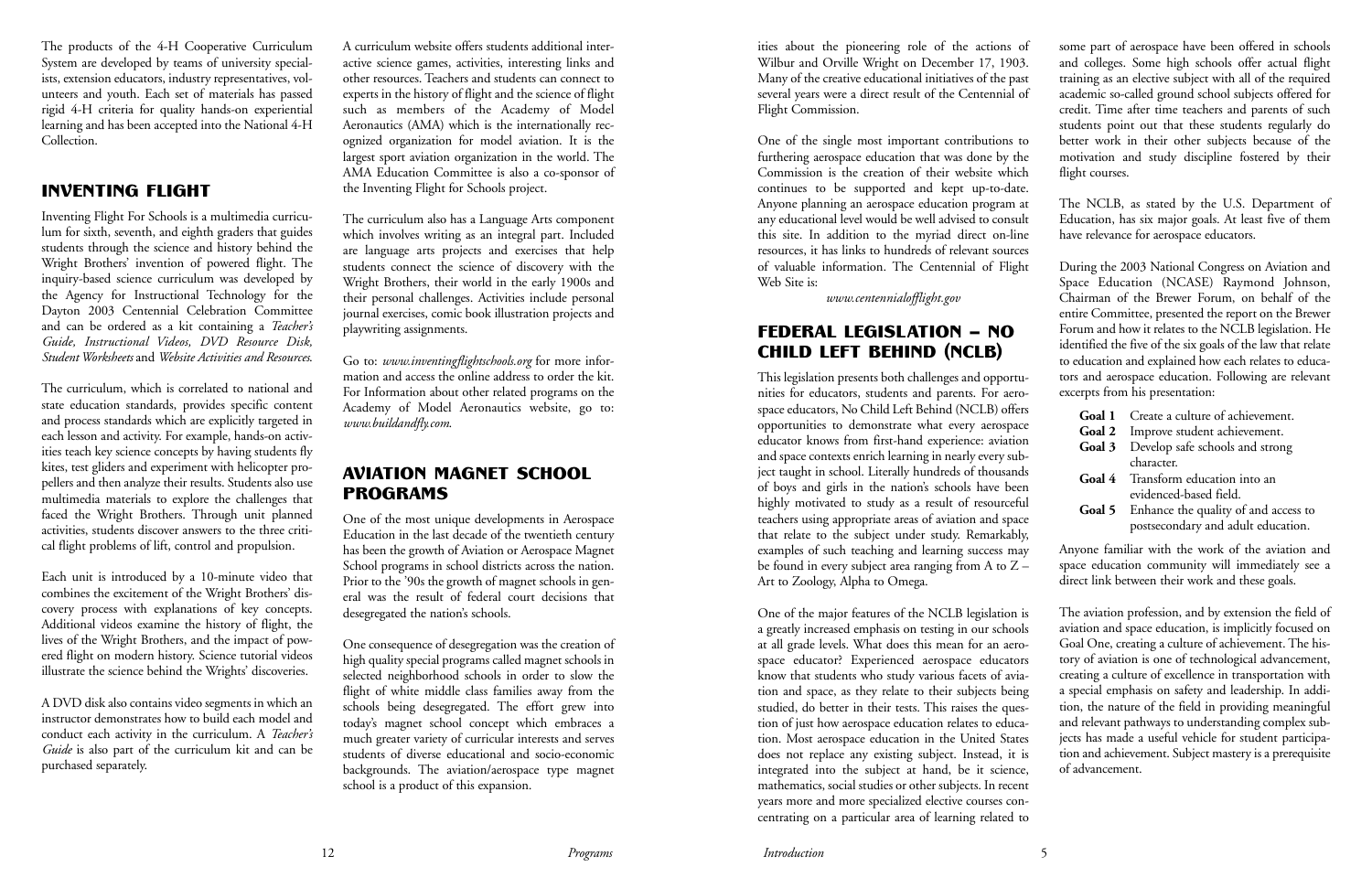The products of the 4-H Cooperative Curriculum System are developed by teams of university specialists, extension educators, industry representatives, volunteers and youth. Each set of materials has passed rigid 4-H criteria for quality hands-on experiential learning and has been accepted into the National 4-H Collection.

#### INVENTING FLIGHT

Inventing Flight For Schools is a multimedia curriculum for sixth, seventh, and eighth graders that guides students through the science and history behind the Wright Brothers' invention of powered flight. The inquiry-based science curriculum was developed by the Agency for Instructional Technology for the Dayton 2003 Centennial Celebration Committee and can be ordered as a kit containing a *Teacher's Guide, Instructional Videos, DVD Resource Disk, Student Worksheets* and *Website Activities and Resources*.

The curriculum, which is correlated to national and state education standards, provides specific content and process standards which are explicitly targeted in each lesson and activity. For example, hands-on activities teach key science concepts by having students fly kites, test gliders and experiment with helicopter propellers and then analyze their results. Students also use multimedia materials to explore the challenges that faced the Wright Brothers. Through unit planned activities, students discover answers to the three critical flight problems of lift, control and propulsion.

Each unit is introduced by a 10-minute video that combines the excitement of the Wright Brothers' discovery process with explanations of key concepts. Additional videos examine the history of flight, the lives of the Wright Brothers, and the impact of powered flight on modern history. Science tutorial videos illustrate the science behind the Wrights' discoveries.

A DVD disk also contains video segments in which an instructor demonstrates how to build each model and conduct each activity in the curriculum. A *Teacher's Guide* is also part of the curriculum kit and can be purchased separately.

A curriculum website offers students additional interactive science games, activities, interesting links and other resources. Teachers and students can connect to experts in the history of flight and the science of flight such as members of the Academy of Model Aeronautics (AMA) which is the internationally recognized organization for model aviation. It is the largest sport aviation organization in the world. The AMA Education Committee is also a co-sponsor of the Inventing Flight for Schools project.

The curriculum also has a Language Arts component which involves writing as an integral part. Included are language arts projects and exercises that help students connect the science of discovery with the Wright Brothers, their world in the early 1900s and their personal challenges. Activities include personal journal exercises, comic book illustration projects and playwriting assignments.

Go to: *www.inventingflightschools.org* for more information and access the online address to order the kit. For Information about other related programs on the Academy of Model Aeronautics website, go to: *www.buildandfly.com*.

some part of aerospace have been offered in schools and colleges. Some high schools offer actual flight training as an elective subject with all of the required academic so-called ground school subjects offered for credit. Time after time teachers and parents of such students point out that these students regularly do better work in their other subjects because of the motivation and study discipline fostered by their flight courses.

#### AVIATION MAGNET SCHOOL PROGRAMS

One of the most unique developments in Aerospace Education in the last decade of the twentieth century has been the growth of Aviation or Aerospace Magnet School programs in school districts across the nation. Prior to the '90s the growth of magnet schools in general was the result of federal court decisions that desegregated the nation's schools.

One consequence of desegregation was the creation of high quality special programs called magnet schools in selected neighborhood schools in order to slow the flight of white middle class families away from the schools being desegregated. The effort grew into today's magnet school concept which embraces a much greater variety of curricular interests and serves students of diverse educational and socio-economic backgrounds. The aviation/aerospace type magnet school is a product of this expansion.

ities about the pioneering role of the actions of Wilbur and Orville Wright on December 17, 1903. Many of the creative educational initiatives of the past several years were a direct result of the Centennial of Flight Commission.

One of the single most important contributions to furthering aerospace education that was done by the Commission is the creation of their website which continues to be supported and kept up-to-date. Anyone planning an aerospace education program at any educational level would be well advised to consult this site. In addition to the myriad direct on-line resources, it has links to hundreds of relevant sources of valuable information. The Centennial of Flight Web Site is:

*www.centennialofflight.gov*

## FEDERAL LEGISLATION – NO CHILD LEFT BEHIND (NCLB)

This legislation presents both challenges and opportunities for educators, students and parents. For aerospace educators, No Child Left Behind (NCLB) offers opportunities to demonstrate what every aerospace educator knows from first-hand experience: aviation and space contexts enrich learning in nearly every subject taught in school. Literally hundreds of thousands of boys and girls in the nation's schools have been highly motivated to study as a result of resourceful teachers using appropriate areas of aviation and space that relate to the subject under study. Remarkably, examples of such teaching and learning success may be found in every subject area ranging from A to  $Z -$ Art to Zoology, Alpha to Omega. tors and aerospace education. Following are relevant excerpts from his presentation: **Goal 1** Create a culture of achievement. Goal 2 Improve student achievement. Goal 3 Develop safe schools and strong character. **Goal 4** Transform education into an evidenced-based field. **Goal 5** Enhance the quality of and access to postsecondary and adult education. Anyone familiar with the work of the aviation and space education community will immediately see a direct link between their work and these goals.

The NCLB, as stated by the U.S. Department of Education, has six major goals. At least five of them have relevance for aerospace educators.

One of the major features of the NCLB legislation is a greatly increased emphasis on testing in our schools at all grade levels. What does this mean for an aerospace educator? Experienced aerospace educators know that students who study various facets of aviation and space, as they relate to their subjects being studied, do better in their tests. This raises the question of just how aerospace education relates to education. Most aerospace education in the United States does not replace any existing subject. Instead, it is integrated into the subject at hand, be it science, mathematics, social studies or other subjects. In recent years more and more specialized elective courses concentrating on a particular area of learning related to The aviation profession, and by extension the field of aviation and space education, is implicitly focused on Goal One, creating a culture of achievement. The history of aviation is one of technological advancement, creating a culture of excellence in transportation with a special emphasis on safety and leadership. In addition, the nature of the field in providing meaningful and relevant pathways to understanding complex subjects has made a useful vehicle for student participation and achievement. Subject mastery is a prerequisite of advancement.

During the 2003 National Congress on Aviation and Space Education (NCASE) Raymond Johnson, Chairman of the Brewer Forum, on behalf of the entire Committee, presented the report on the Brewer Forum and how it relates to the NCLB legislation. He identified the five of the six goals of the law that relate to education and explained how each relates to educa-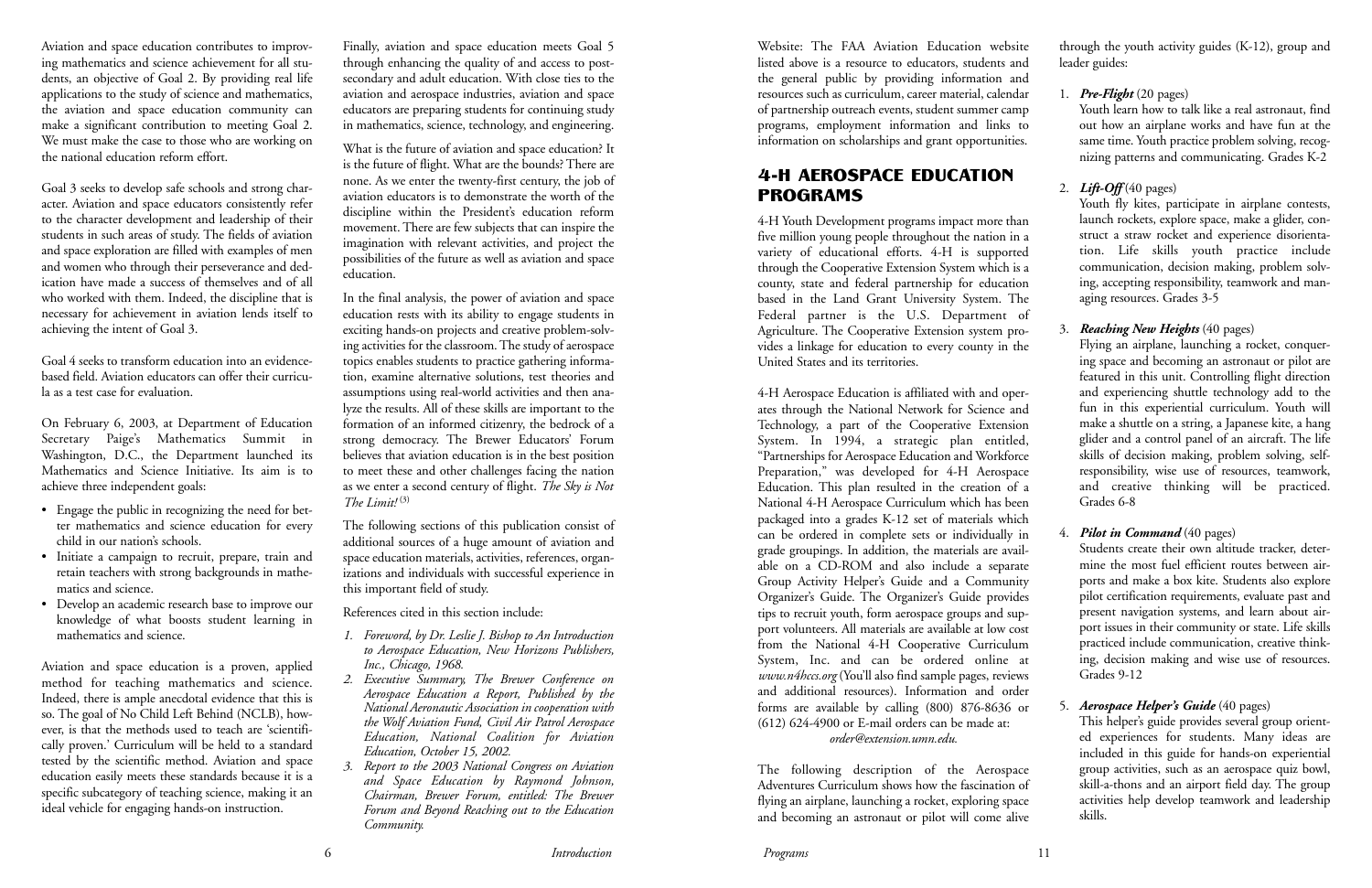Aviation and space education contributes to improving mathematics and science achievement for all students, an objective of Goal 2. By providing real life applications to the study of science and mathematics, the aviation and space education community can make a significant contribution to meeting Goal 2. We must make the case to those who are working on the national education reform effort.

Goal 3 seeks to develop safe schools and strong character. Aviation and space educators consistently refer to the character development and leadership of their students in such areas of study. The fields of aviation and space exploration are filled with examples of men and women who through their perseverance and dedication have made a success of themselves and of all who worked with them. Indeed, the discipline that is necessary for achievement in aviation lends itself to achieving the intent of Goal 3.

Goal 4 seeks to transform education into an evidencebased field. Aviation educators can offer their curricula as a test case for evaluation.

On February 6, 2003, at Department of Education Secretary Paige's Mathematics Summit in Washington, D.C., the Department launched its Mathematics and Science Initiative. Its aim is to achieve three independent goals:

- Engage the public in recognizing the need for better mathematics and science education for every child in our nation's schools.
- Initiate a campaign to recruit, prepare, train and retain teachers with strong backgrounds in mathematics and science.
- Develop an academic research base to improve our knowledge of what boosts student learning in mathematics and science.

Aviation and space education is a proven, applied method for teaching mathematics and science. Indeed, there is ample anecdotal evidence that this is so. The goal of No Child Left Behind (NCLB), however, is that the methods used to teach are 'scientifically proven.' Curriculum will be held to a standard tested by the scientific method. Aviation and space education easily meets these standards because it is a specific subcategory of teaching science, making it an ideal vehicle for engaging hands-on instruction.

Finally, aviation and space education meets Goal 5 through enhancing the quality of and access to postsecondary and adult education. With close ties to the aviation and aerospace industries, aviation and space educators are preparing students for continuing study in mathematics, science, technology, and engineering.

What is the future of aviation and space education? It is the future of flight. What are the bounds? There are none. As we enter the twenty-first century, the job of aviation educators is to demonstrate the worth of the discipline within the President's education reform movement. There are few subjects that can inspire the imagination with relevant activities, and project the possibilities of the future as well as aviation and space education.

In the final analysis, the power of aviation and space education rests with its ability to engage students in exciting hands-on projects and creative problem-solving activities for the classroom. The study of aerospace topics enables students to practice gathering information, examine alternative solutions, test theories and assumptions using real-world activities and then analyze the results. All of these skills are important to the formation of an informed citizenry, the bedrock of a strong democracy. The Brewer Educators' Forum believes that aviation education is in the best position to meet these and other challenges facing the nation as we enter a second century of flight. *The Sky is Not The Limit!* (3)

Youth fly kites, participate in airplane contests, launch rockets, explore space, make a glider, construct a straw rocket and experience disorientation. Life skills youth practice include communication, decision making, problem solving, accepting responsibility, teamwork and managing resources. Grades 3-5

The following sections of this publication consist of additional sources of a huge amount of aviation and space education materials, activities, references, organizations and individuals with successful experience in this important field of study.

References cited in this section include:

- *1. Foreword, by Dr. Leslie J. Bishop to An Introduction to Aerospace Education, New Horizons Publishers, Inc., Chicago, 1968.*
- *2. Executive Summary, The Brewer Conference on Aerospace Education a Report, Published by the National Aeronautic Association in cooperation with the Wolf Aviation Fund, Civil Air Patrol Aerospace Education, National Coalition for Aviation Education, October 15, 2002.*
- *3. Report to the 2003 National Congress on Aviation and Space Education by Raymond Johnson, Chairman, Brewer Forum, entitled: The Brewer Forum and Beyond Reaching out to the Education Community.*

Website: The FAA Aviation Education website listed above is a resource to educators, students and the general public by providing information and resources such as curriculum, career material, calendar of partnership outreach events, student summer camp programs, employment information and links to information on scholarships and grant opportunities.

#### 4-H AEROSPACE EDUCATION PROGRAMS

4-H Youth Development programs impact more than five million young people throughout the nation in a variety of educational efforts. 4-H is supported through the Cooperative Extension System which is a county, state and federal partnership for education based in the Land Grant University System. The Federal partner is the U.S. Department of Agriculture. The Cooperative Extension system provides a linkage for education to every county in the United States and its territories.

4-H Aerospace Education is affiliated with and operates through the National Network for Science and Technology, a part of the Cooperative Extension System. In 1994, a strategic plan entitled, "Partnerships for Aerospace Education and Workforce Preparation," was developed for 4-H Aerospace Education. This plan resulted in the creation of a National 4-H Aerospace Curriculum which has been packaged into a grades K-12 set of materials which can be ordered in complete sets or individually in grade groupings. In addition, the materials are available on a CD-ROM and also include a separate Group Activity Helper's Guide and a Community Organizer's Guide. The Organizer's Guide provides tips to recruit youth, form aerospace groups and support volunteers. All materials are available at low cost from the National 4-H Cooperative Curriculum System, Inc. and can be ordered online at *www.n4hccs.org* (You'll also find sample pages, reviews and additional resources). Information and order forms are available by calling (800) 876-8636 or (612) 624-4900 or E-mail orders can be made at: *order@extension.umn.edu.*

The following description of the Aerospace Adventures Curriculum shows how the fascination of flying an airplane, launching a rocket, exploring space and becoming an astronaut or pilot will come alive through the youth activity guides (K-12), group and leader guides:

#### 1. *Pre-Flight* (20 pages)

Youth learn how to talk like a real astronaut, find out how an airplane works and have fun at the same time. Youth practice problem solving, recognizing patterns and communicating. Grades K-2

#### 2.  $Lift-Off(40 \text{ pages})$

#### 3. *Reaching New Heights* (40 pages)

Flying an airplane, launching a rocket, conquering space and becoming an astronaut or pilot are featured in this unit. Controlling flight direction and experiencing shuttle technology add to the fun in this experiential curriculum. Youth will make a shuttle on a string, a Japanese kite, a hang glider and a control panel of an aircraft. The life skills of decision making, problem solving, selfresponsibility, wise use of resources, teamwork, and creative thinking will be practiced. Grades 6-8

#### 4. *Pilot in Command* (40 pages)

Students create their own altitude tracker, determine the most fuel efficient routes between airports and make a box kite. Students also explore pilot certification requirements, evaluate past and present navigation systems, and learn about airport issues in their community or state. Life skills practiced include communication, creative thinking, decision making and wise use of resources. Grades 9-12

#### 5. *Aerospace Helper's Guide* (40 pages)

This helper's guide provides several group oriented experiences for students. Many ideas are included in this guide for hands-on experiential group activities, such as an aerospace quiz bowl, skill-a-thons and an airport field day. The group activities help develop teamwork and leadership skills.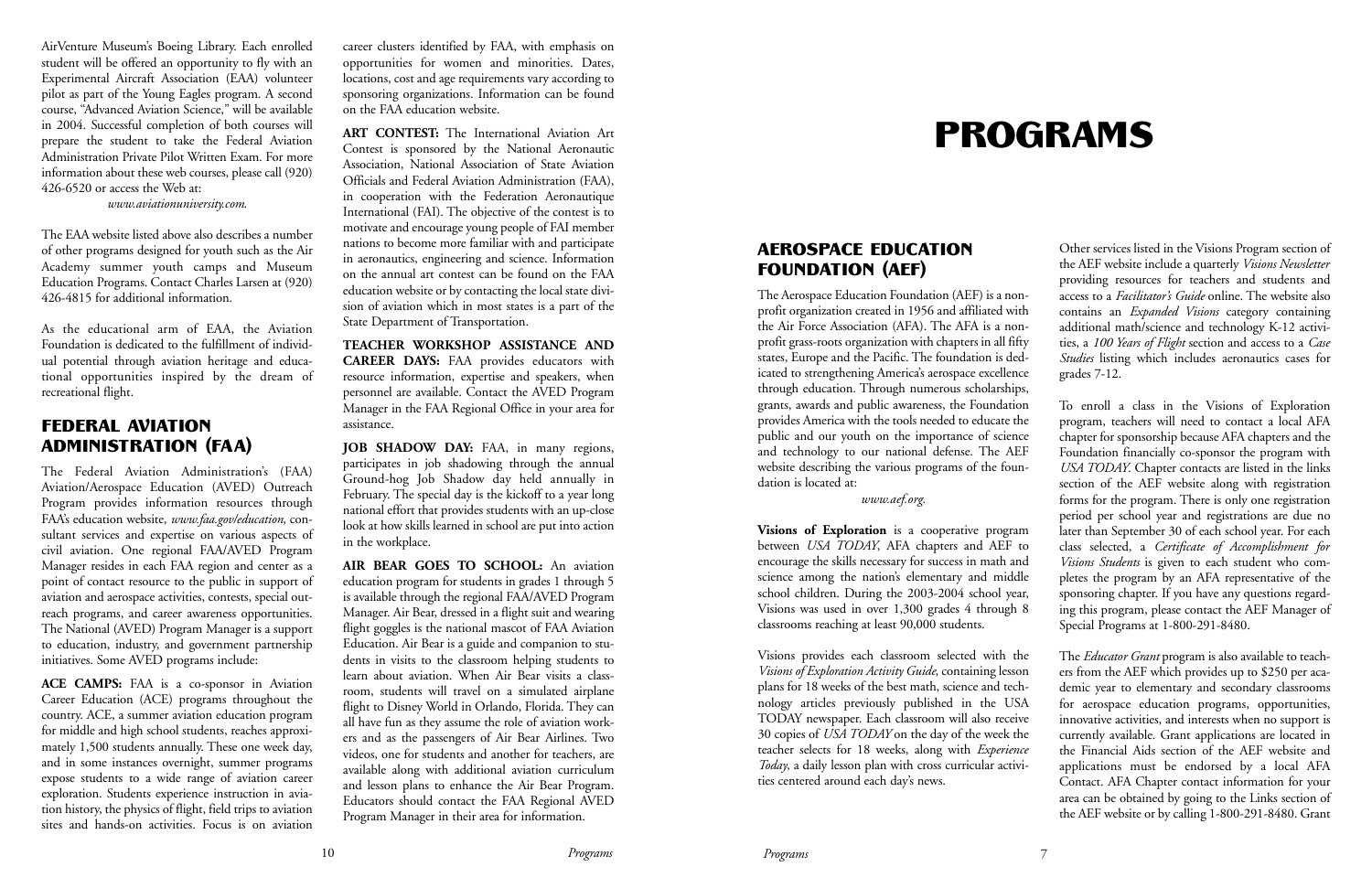AirVenture Museum's Boeing Library. Each enrolled student will be offered an opportunity to fly with an Experimental Aircraft Association (EAA) volunteer pilot as part of the Young Eagles program. A second course, "Advanced Aviation Science," will be available in 2004. Successful completion of both courses will prepare the student to take the Federal Aviation Administration Private Pilot Written Exam. For more information about these web courses, please call (920) 426-6520 or access the Web at:

*www.aviationuniversity.com*.

The EAA website listed above also describes a number of other programs designed for youth such as the Air Academy summer youth camps and Museum Education Programs. Contact Charles Larsen at (920) 426-4815 for additional information.

As the educational arm of EAA, the Aviation Foundation is dedicated to the fulfillment of individual potential through aviation heritage and educational opportunities inspired by the dream of recreational flight.

#### FEDERAL AVIATION ADMINISTRATION (FAA)

The Federal Aviation Administration's (FAA) Aviation/Aerospace Education (AVED) Outreach Program provides information resources through FAA's education website, *www.faa.gov/education*, consultant services and expertise on various aspects of civil aviation. One regional FAA/AVED Program Manager resides in each FAA region and center as a point of contact resource to the public in support of aviation and aerospace activities, contests, special outreach programs, and career awareness opportunities. The National (AVED) Program Manager is a support to education, industry, and government partnership initiatives. Some AVED programs include:

**ACE CAMPS:** FAA is a co-sponsor in Aviation Career Education (ACE) programs throughout the country. ACE, a summer aviation education program for middle and high school students, reaches approximately 1,500 students annually. These one week day, and in some instances overnight, summer programs expose students to a wide range of aviation career exploration. Students experience instruction in aviation history, the physics of flight, field trips to aviation sites and hands-on activities. Focus is on aviation

career clusters identified by FAA, with emphasis on opportunities for women and minorities. Dates, locations, cost and age requirements vary according to sponsoring organizations. Information can be found on the FAA education website.

**ART CONTEST:** The International Aviation Art Contest is sponsored by the National Aeronautic Association, National Association of State Aviation Officials and Federal Aviation Administration (FAA), in cooperation with the Federation Aeronautique International (FAI). The objective of the contest is to motivate and encourage young people of FAI member nations to become more familiar with and participate in aeronautics, engineering and science. Information on the annual art contest can be found on the FAA education website or by contacting the local state division of aviation which in most states is a part of the State Department of Transportation.

**TEACHER WORKSHOP ASSISTANCE AND CAREER DAYS:** FAA provides educators with resource information, expertise and speakers, when personnel are available. Contact the AVED Program Manager in the FAA Regional Office in your area for assistance.

**JOB SHADOW DAY:** FAA, in many regions, participates in job shadowing through the annual Ground-hog Job Shadow day held annually in February. The special day is the kickoff to a year long national effort that provides students with an up-close look at how skills learned in school are put into action in the workplace.

**AIR BEAR GOES TO SCHOOL:** An aviation education program for students in grades 1 through 5 is available through the regional FAA/AVED Program Manager. Air Bear, dressed in a flight suit and wearing flight goggles is the national mascot of FAA Aviation Education. Air Bear is a guide and companion to students in visits to the classroom helping students to learn about aviation. When Air Bear visits a classroom, students will travel on a simulated airplane flight to Disney World in Orlando, Florida. They can all have fun as they assume the role of aviation workers and as the passengers of Air Bear Airlines. Two videos, one for students and another for teachers, are available along with additional aviation curriculum and lesson plans to enhance the Air Bear Program. Educators should contact the FAA Regional AVED Program Manager in their area for information.

# PROGRAMS

#### AEROSPACE EDUCATION FOUNDATION (AEF)

The Aerospace Education Foundation (AEF) is a nonprofit organization created in 1956 and affiliated with the Air Force Association (AFA). The AFA is a nonprofit grass-roots organization with chapters in all fifty states, Europe and the Pacific. The foundation is dedicated to strengthening America's aerospace excellence through education. Through numerous scholarships, grants, awards and public awareness, the Foundation provides America with the tools needed to educate the public and our youth on the importance of science and technology to our national defense. The AEF website describing the various programs of the foundation is located at:

#### *www.aef.org.*

**Visions of Exploration** is a cooperative program between *USA TODAY*, AFA chapters and AEF to encourage the skills necessary for success in math and science among the nation's elementary and middle school children. During the 2003-2004 school year, Visions was used in over 1,300 grades 4 through 8 classrooms reaching at least 90,000 students.

Visions provides each classroom selected with the *Visions of Exploration Activity Guide*, containing lesson plans for 18 weeks of the best math, science and technology articles previously published in the USA TODAY newspaper. Each classroom will also receive 30 copies of *USA TODAY* on the day of the week the teacher selects for 18 weeks, along with *Experience Today*, a daily lesson plan with cross curricular activities centered around each day's news.

Other services listed in the Visions Program section of the AEF website include a quarterly *Visions Newsletter* providing resources for teachers and students and access to a *Facilitator's Guide* online. The website also contains an *Expanded Visions* category containing additional math/science and technology K-12 activities, a *100 Years of Flight* section and access to a *Case Studies* listing which includes aeronautics cases for grades 7-12.

To enroll a class in the Visions of Exploration program, teachers will need to contact a local AFA chapter for sponsorship because AFA chapters and the Foundation financially co-sponsor the program with *USA TODAY*. Chapter contacts are listed in the links section of the AEF website along with registration forms for the program. There is only one registration period per school year and registrations are due no later than September 30 of each school year. For each class selected, a *Certificate of Accomplishment for Visions Students* is given to each student who completes the program by an AFA representative of the sponsoring chapter. If you have any questions regarding this program, please contact the AEF Manager of Special Programs at 1-800-291-8480.

The *Educator Grant* program is also available to teachers from the AEF which provides up to \$250 per academic year to elementary and secondary classrooms for aerospace education programs, opportunities, innovative activities, and interests when no support is currently available. Grant applications are located in the Financial Aids section of the AEF website and applications must be endorsed by a local AFA Contact. AFA Chapter contact information for your area can be obtained by going to the Links section of the AEF website or by calling 1-800-291-8480. Grant